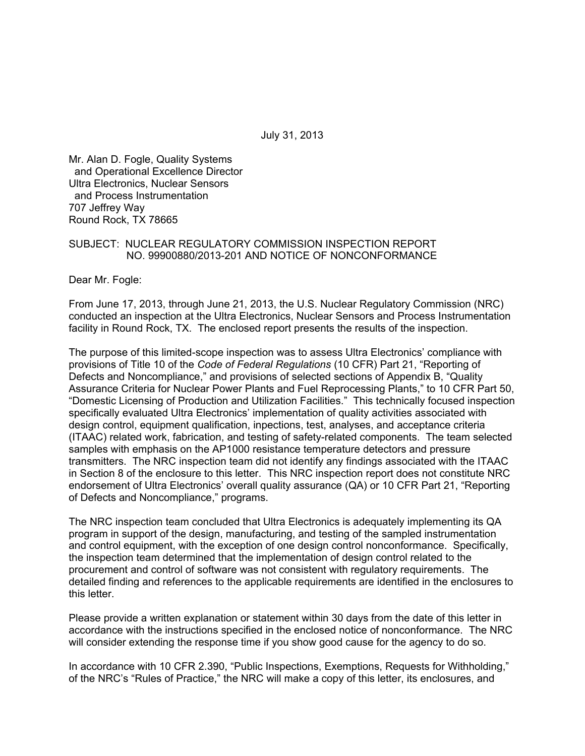July 31, 2013

Mr. Alan D. Fogle, Quality Systems and Operational Excellence Director Ultra Electronics, Nuclear Sensors and Process Instrumentation 707 Jeffrey Way Round Rock, TX 78665

#### SUBJECT: NUCLEAR REGULATORY COMMISSION INSPECTION REPORT NO. 99900880/2013-201 AND NOTICE OF NONCONFORMANCE

Dear Mr. Fogle:

From June 17, 2013, through June 21, 2013, the U.S. Nuclear Regulatory Commission (NRC) conducted an inspection at the Ultra Electronics, Nuclear Sensors and Process Instrumentation facility in Round Rock, TX. The enclosed report presents the results of the inspection.

The purpose of this limited-scope inspection was to assess Ultra Electronics' compliance with provisions of Title 10 of the *Code of Federal Regulations* (10 CFR) Part 21, "Reporting of Defects and Noncompliance," and provisions of selected sections of Appendix B, "Quality Assurance Criteria for Nuclear Power Plants and Fuel Reprocessing Plants," to 10 CFR Part 50, "Domestic Licensing of Production and Utilization Facilities." This technically focused inspection specifically evaluated Ultra Electronics' implementation of quality activities associated with design control, equipment qualification, inpections, test, analyses, and acceptance criteria (ITAAC) related work, fabrication, and testing of safety-related components. The team selected samples with emphasis on the AP1000 resistance temperature detectors and pressure transmitters. The NRC inspection team did not identify any findings associated with the ITAAC in Section 8 of the enclosure to this letter. This NRC inspection report does not constitute NRC endorsement of Ultra Electronics' overall quality assurance (QA) or 10 CFR Part 21, "Reporting of Defects and Noncompliance," programs.

The NRC inspection team concluded that Ultra Electronics is adequately implementing its QA program in support of the design, manufacturing, and testing of the sampled instrumentation and control equipment, with the exception of one design control nonconformance. Specifically, the inspection team determined that the implementation of design control related to the procurement and control of software was not consistent with regulatory requirements. The detailed finding and references to the applicable requirements are identified in the enclosures to this letter.

Please provide a written explanation or statement within 30 days from the date of this letter in accordance with the instructions specified in the enclosed notice of nonconformance. The NRC will consider extending the response time if you show good cause for the agency to do so.

In accordance with 10 CFR 2.390, "Public Inspections, Exemptions, Requests for Withholding," of the NRC's "Rules of Practice," the NRC will make a copy of this letter, its enclosures, and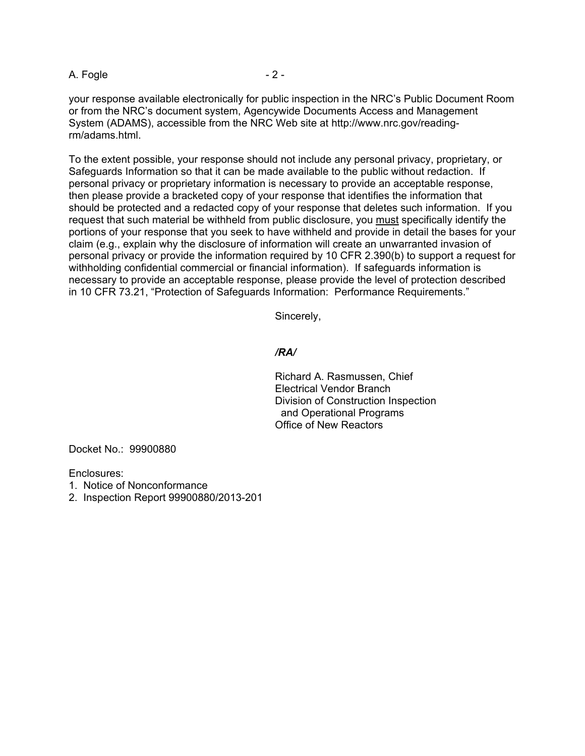#### A. Fogle  $-2 -$

your response available electronically for public inspection in the NRC's Public Document Room or from the NRC's document system, Agencywide Documents Access and Management System (ADAMS), accessible from the NRC Web site at http://www.nrc.gov/readingrm/adams.html.

To the extent possible, your response should not include any personal privacy, proprietary, or Safeguards Information so that it can be made available to the public without redaction. If personal privacy or proprietary information is necessary to provide an acceptable response, then please provide a bracketed copy of your response that identifies the information that should be protected and a redacted copy of your response that deletes such information. If you request that such material be withheld from public disclosure, you must specifically identify the portions of your response that you seek to have withheld and provide in detail the bases for your claim (e.g., explain why the disclosure of information will create an unwarranted invasion of personal privacy or provide the information required by 10 CFR 2.390(b) to support a request for withholding confidential commercial or financial information). If safeguards information is necessary to provide an acceptable response, please provide the level of protection described in 10 CFR 73.21, "Protection of Safeguards Information: Performance Requirements."

Sincerely,

#### */RA/*

Richard A. Rasmussen, Chief Electrical Vendor Branch Division of Construction Inspection and Operational Programs Office of New Reactors

Docket No.: 99900880

Enclosures:

- 1. Notice of Nonconformance
- 2. Inspection Report 99900880/2013-201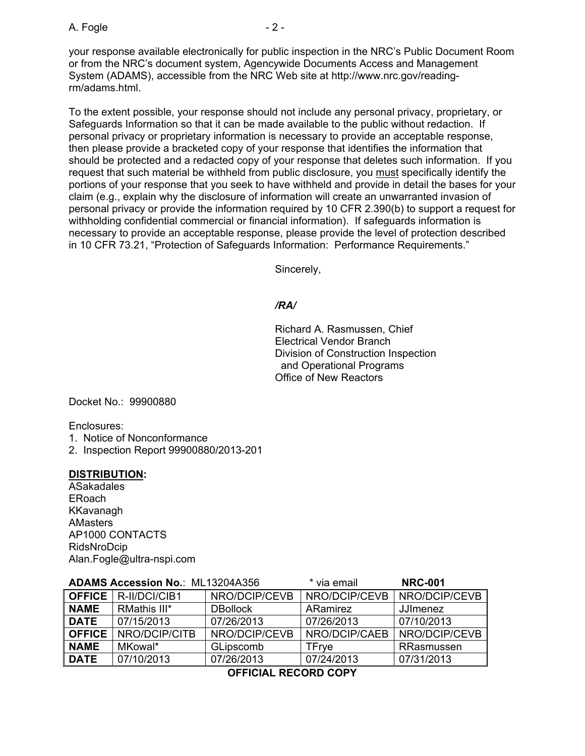A. Fogle  $-2 -$ 

your response available electronically for public inspection in the NRC's Public Document Room or from the NRC's document system, Agencywide Documents Access and Management System (ADAMS), accessible from the NRC Web site at http://www.nrc.gov/readingrm/adams.html.

To the extent possible, your response should not include any personal privacy, proprietary, or Safeguards Information so that it can be made available to the public without redaction. If personal privacy or proprietary information is necessary to provide an acceptable response, then please provide a bracketed copy of your response that identifies the information that should be protected and a redacted copy of your response that deletes such information. If you request that such material be withheld from public disclosure, you must specifically identify the portions of your response that you seek to have withheld and provide in detail the bases for your claim (e.g., explain why the disclosure of information will create an unwarranted invasion of personal privacy or provide the information required by 10 CFR 2.390(b) to support a request for withholding confidential commercial or financial information). If safeguards information is necessary to provide an acceptable response, please provide the level of protection described in 10 CFR 73.21, "Protection of Safeguards Information: Performance Requirements."

Sincerely,

## */RA/*

Richard A. Rasmussen, Chief Electrical Vendor Branch Division of Construction Inspection and Operational Programs Office of New Reactors

Docket No.: 99900880

Enclosures:

1. Notice of Nonconformance

2. Inspection Report 99900880/2013-201

### **DISTRIBUTION:**

ASakadales ERoach KKavanagh AMasters AP1000 CONTACTS RidsNroDcip Alan.Fogle@ultra-nspi.com

| <b>ADAMS Accession No.: ML13204A356</b> |                               |                 | * via email   | <b>NRC-001</b>  |
|-----------------------------------------|-------------------------------|-----------------|---------------|-----------------|
|                                         | <b>OFFICE</b>   R-II/DCI/CIB1 | NRO/DCIP/CEVB   | NRO/DCIP/CEVB | NRO/DCIP/CEVB   |
| <b>NAME</b>                             | RMathis III*                  | <b>DBollock</b> | ARamirez      | <b>JJImenez</b> |
| <b>DATE</b>                             | 07/15/2013                    | 07/26/2013      | 07/26/2013    | 07/10/2013      |
| <b>OFFICE</b>                           | NRO/DCIP/CITB                 | NRO/DCIP/CEVB   | NRO/DCIP/CAEB | NRO/DCIP/CEVB   |
| <b>NAME</b>                             | MKowal*                       | GLipscomb       | TFrve         | RRasmussen      |
| <b>DATE</b>                             | 07/10/2013                    | 07/26/2013      | 07/24/2013    | 07/31/2013      |

**OFFICIAL RECORD COPY**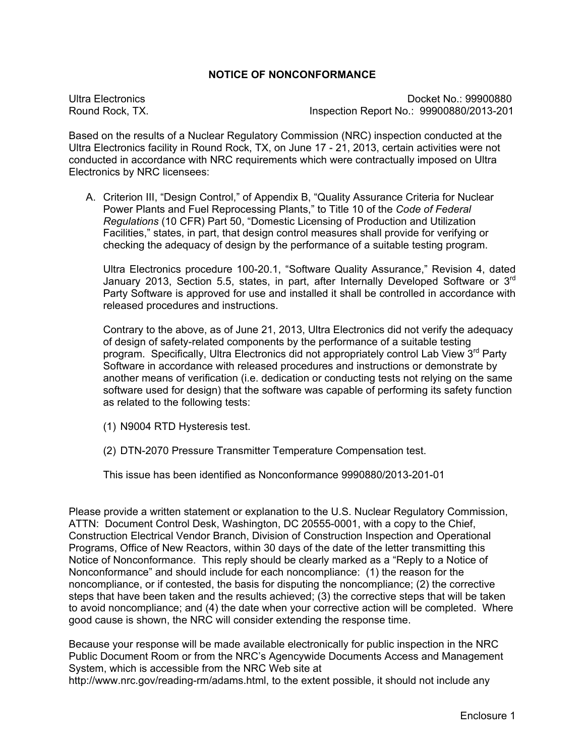#### **NOTICE OF NONCONFORMANCE**

Ultra Electronics Docket No.: 99900880 Round Rock, TX. Inspection Report No.: 99900880/2013-201

Based on the results of a Nuclear Regulatory Commission (NRC) inspection conducted at the Ultra Electronics facility in Round Rock, TX, on June 17 - 21, 2013, certain activities were not conducted in accordance with NRC requirements which were contractually imposed on Ultra Electronics by NRC licensees:

A. Criterion III, "Design Control," of Appendix B, "Quality Assurance Criteria for Nuclear Power Plants and Fuel Reprocessing Plants," to Title 10 of the *Code of Federal Regulations* (10 CFR) Part 50, "Domestic Licensing of Production and Utilization Facilities," states, in part, that design control measures shall provide for verifying or checking the adequacy of design by the performance of a suitable testing program.

Ultra Electronics procedure 100-20.1, "Software Quality Assurance," Revision 4, dated January 2013, Section 5.5, states, in part, after Internally Developed Software or  $3<sup>rd</sup>$ Party Software is approved for use and installed it shall be controlled in accordance with released procedures and instructions.

 Contrary to the above, as of June 21, 2013, Ultra Electronics did not verify the adequacy of design of safety-related components by the performance of a suitable testing program. Specifically, Ultra Electronics did not appropriately control Lab View 3<sup>rd</sup> Party Software in accordance with released procedures and instructions or demonstrate by another means of verification (i.e. dedication or conducting tests not relying on the same software used for design) that the software was capable of performing its safety function as related to the following tests:

- (1) N9004 RTD Hysteresis test.
- (2) DTN-2070 Pressure Transmitter Temperature Compensation test.

This issue has been identified as Nonconformance 9990880/2013-201-01

Please provide a written statement or explanation to the U.S. Nuclear Regulatory Commission, ATTN: Document Control Desk, Washington, DC 20555-0001, with a copy to the Chief, Construction Electrical Vendor Branch, Division of Construction Inspection and Operational Programs, Office of New Reactors, within 30 days of the date of the letter transmitting this Notice of Nonconformance. This reply should be clearly marked as a "Reply to a Notice of Nonconformance" and should include for each noncompliance: (1) the reason for the noncompliance, or if contested, the basis for disputing the noncompliance; (2) the corrective steps that have been taken and the results achieved; (3) the corrective steps that will be taken to avoid noncompliance; and (4) the date when your corrective action will be completed. Where good cause is shown, the NRC will consider extending the response time.

Because your response will be made available electronically for public inspection in the NRC Public Document Room or from the NRC's Agencywide Documents Access and Management System, which is accessible from the NRC Web site at http://www.nrc.gov/reading-rm/adams.html, to the extent possible, it should not include any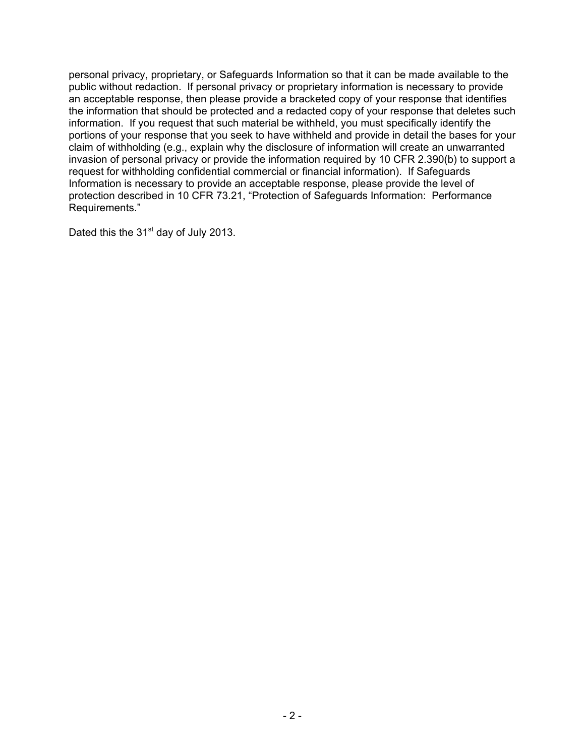personal privacy, proprietary, or Safeguards Information so that it can be made available to the public without redaction. If personal privacy or proprietary information is necessary to provide an acceptable response, then please provide a bracketed copy of your response that identifies the information that should be protected and a redacted copy of your response that deletes such information. If you request that such material be withheld, you must specifically identify the portions of your response that you seek to have withheld and provide in detail the bases for your claim of withholding (e.g., explain why the disclosure of information will create an unwarranted invasion of personal privacy or provide the information required by 10 CFR 2.390(b) to support a request for withholding confidential commercial or financial information). If Safeguards Information is necessary to provide an acceptable response, please provide the level of protection described in 10 CFR 73.21, "Protection of Safeguards Information: Performance Requirements."

Dated this the  $31<sup>st</sup>$  day of July 2013.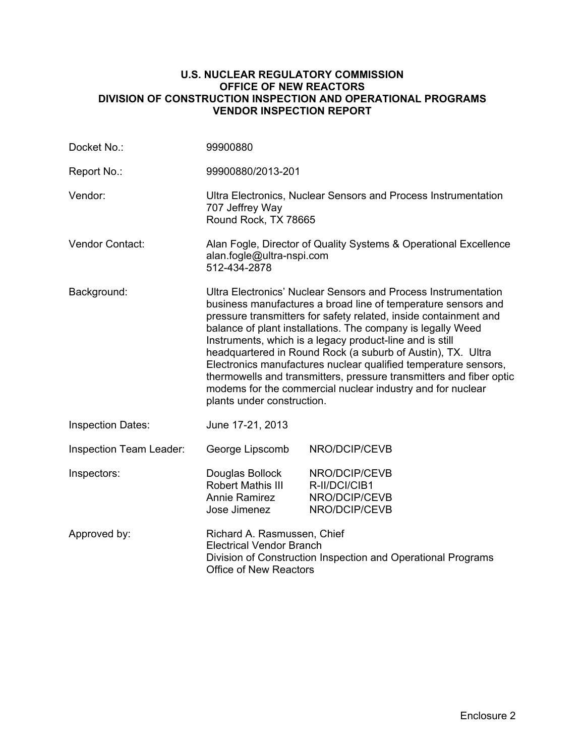#### **U.S. NUCLEAR REGULATORY COMMISSION OFFICE OF NEW REACTORS DIVISION OF CONSTRUCTION INSPECTION AND OPERATIONAL PROGRAMS VENDOR INSPECTION REPORT**

| Docket No.:              | 99900880                                                                                                                                                                                                                                                                                                                                                                                                                                                                                                                                                                                                                            |                                                                  |  |
|--------------------------|-------------------------------------------------------------------------------------------------------------------------------------------------------------------------------------------------------------------------------------------------------------------------------------------------------------------------------------------------------------------------------------------------------------------------------------------------------------------------------------------------------------------------------------------------------------------------------------------------------------------------------------|------------------------------------------------------------------|--|
| Report No.:              | 99900880/2013-201                                                                                                                                                                                                                                                                                                                                                                                                                                                                                                                                                                                                                   |                                                                  |  |
| Vendor:                  | Ultra Electronics, Nuclear Sensors and Process Instrumentation<br>707 Jeffrey Way<br>Round Rock, TX 78665                                                                                                                                                                                                                                                                                                                                                                                                                                                                                                                           |                                                                  |  |
| <b>Vendor Contact:</b>   | Alan Fogle, Director of Quality Systems & Operational Excellence<br>alan.fogle@ultra-nspi.com<br>512-434-2878                                                                                                                                                                                                                                                                                                                                                                                                                                                                                                                       |                                                                  |  |
| Background:              | Ultra Electronics' Nuclear Sensors and Process Instrumentation<br>business manufactures a broad line of temperature sensors and<br>pressure transmitters for safety related, inside containment and<br>balance of plant installations. The company is legally Weed<br>Instruments, which is a legacy product-line and is still<br>headquartered in Round Rock (a suburb of Austin), TX. Ultra<br>Electronics manufactures nuclear qualified temperature sensors,<br>thermowells and transmitters, pressure transmitters and fiber optic<br>modems for the commercial nuclear industry and for nuclear<br>plants under construction. |                                                                  |  |
| <b>Inspection Dates:</b> | June 17-21, 2013                                                                                                                                                                                                                                                                                                                                                                                                                                                                                                                                                                                                                    |                                                                  |  |
| Inspection Team Leader:  | George Lipscomb                                                                                                                                                                                                                                                                                                                                                                                                                                                                                                                                                                                                                     | NRO/DCIP/CEVB                                                    |  |
| Inspectors:              | Douglas Bollock<br><b>Robert Mathis III</b><br><b>Annie Ramirez</b><br>Jose Jimenez                                                                                                                                                                                                                                                                                                                                                                                                                                                                                                                                                 | NRO/DCIP/CEVB<br>R-II/DCI/CIB1<br>NRO/DCIP/CEVB<br>NRO/DCIP/CEVB |  |
| Approved by:             | Richard A. Rasmussen, Chief<br><b>Electrical Vendor Branch</b><br>Division of Construction Inspection and Operational Programs<br><b>Office of New Reactors</b>                                                                                                                                                                                                                                                                                                                                                                                                                                                                     |                                                                  |  |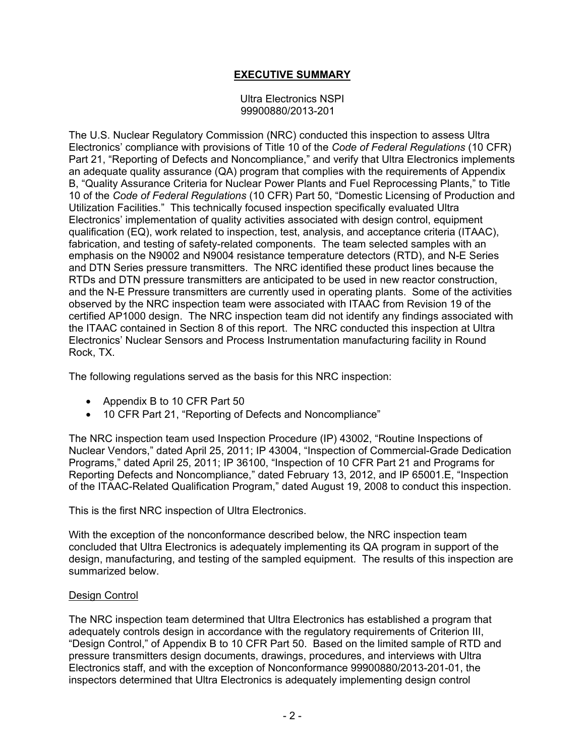## **EXECUTIVE SUMMARY**

#### Ultra Electronics NSPI 99900880/2013-201

The U.S. Nuclear Regulatory Commission (NRC) conducted this inspection to assess Ultra Electronics' compliance with provisions of Title 10 of the *Code of Federal Regulations* (10 CFR) Part 21, "Reporting of Defects and Noncompliance," and verify that Ultra Electronics implements an adequate quality assurance (QA) program that complies with the requirements of Appendix B, "Quality Assurance Criteria for Nuclear Power Plants and Fuel Reprocessing Plants," to Title 10 of the *Code of Federal Regulations* (10 CFR) Part 50, "Domestic Licensing of Production and Utilization Facilities." This technically focused inspection specifically evaluated Ultra Electronics' implementation of quality activities associated with design control, equipment qualification (EQ), work related to inspection, test, analysis, and acceptance criteria (ITAAC), fabrication, and testing of safety-related components. The team selected samples with an emphasis on the N9002 and N9004 resistance temperature detectors (RTD), and N-E Series and DTN Series pressure transmitters. The NRC identified these product lines because the RTDs and DTN pressure transmitters are anticipated to be used in new reactor construction, and the N-E Pressure transmitters are currently used in operating plants. Some of the activities observed by the NRC inspection team were associated with ITAAC from Revision 19 of the certified AP1000 design. The NRC inspection team did not identify any findings associated with the ITAAC contained in Section 8 of this report. The NRC conducted this inspection at Ultra Electronics' Nuclear Sensors and Process Instrumentation manufacturing facility in Round Rock, TX.

The following regulations served as the basis for this NRC inspection:

- Appendix B to 10 CFR Part 50
- 10 CFR Part 21, "Reporting of Defects and Noncompliance"

The NRC inspection team used Inspection Procedure (IP) 43002, "Routine Inspections of Nuclear Vendors," dated April 25, 2011; IP 43004, "Inspection of Commercial-Grade Dedication Programs," dated April 25, 2011; IP 36100, "Inspection of 10 CFR Part 21 and Programs for Reporting Defects and Noncompliance," dated February 13, 2012, and IP 65001.E, "Inspection of the ITAAC-Related Qualification Program," dated August 19, 2008 to conduct this inspection.

This is the first NRC inspection of Ultra Electronics.

With the exception of the nonconformance described below, the NRC inspection team concluded that Ultra Electronics is adequately implementing its QA program in support of the design, manufacturing, and testing of the sampled equipment. The results of this inspection are summarized below.

### Design Control

The NRC inspection team determined that Ultra Electronics has established a program that adequately controls design in accordance with the regulatory requirements of Criterion III, "Design Control," of Appendix B to 10 CFR Part 50. Based on the limited sample of RTD and pressure transmitters design documents, drawings, procedures, and interviews with Ultra Electronics staff, and with the exception of Nonconformance 99900880/2013-201-01, the inspectors determined that Ultra Electronics is adequately implementing design control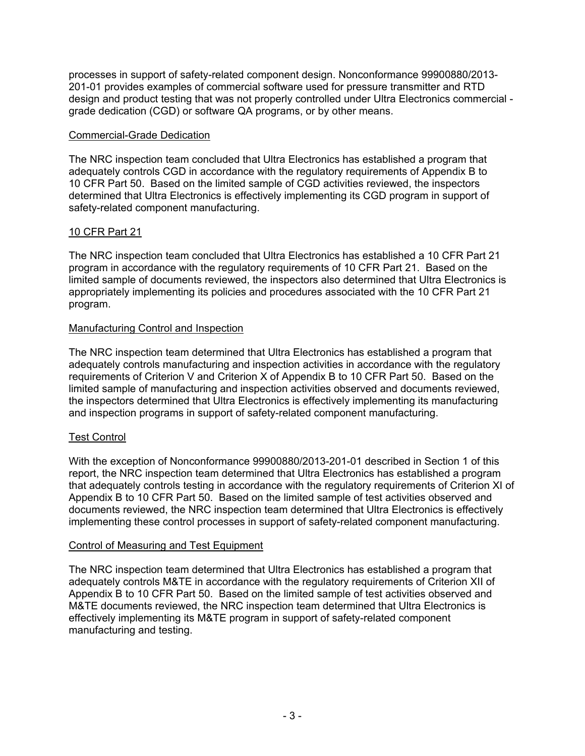processes in support of safety-related component design. Nonconformance 99900880/2013- 201-01 provides examples of commercial software used for pressure transmitter and RTD design and product testing that was not properly controlled under Ultra Electronics commercial grade dedication (CGD) or software QA programs, or by other means.

#### Commercial-Grade Dedication

The NRC inspection team concluded that Ultra Electronics has established a program that adequately controls CGD in accordance with the regulatory requirements of Appendix B to 10 CFR Part 50. Based on the limited sample of CGD activities reviewed, the inspectors determined that Ultra Electronics is effectively implementing its CGD program in support of safety-related component manufacturing.

## 10 CFR Part 21

The NRC inspection team concluded that Ultra Electronics has established a 10 CFR Part 21 program in accordance with the regulatory requirements of 10 CFR Part 21. Based on the limited sample of documents reviewed, the inspectors also determined that Ultra Electronics is appropriately implementing its policies and procedures associated with the 10 CFR Part 21 program.

### Manufacturing Control and Inspection

The NRC inspection team determined that Ultra Electronics has established a program that adequately controls manufacturing and inspection activities in accordance with the regulatory requirements of Criterion V and Criterion X of Appendix B to 10 CFR Part 50. Based on the limited sample of manufacturing and inspection activities observed and documents reviewed, the inspectors determined that Ultra Electronics is effectively implementing its manufacturing and inspection programs in support of safety-related component manufacturing.

### Test Control

With the exception of Nonconformance 99900880/2013-201-01 described in Section 1 of this report, the NRC inspection team determined that Ultra Electronics has established a program that adequately controls testing in accordance with the regulatory requirements of Criterion XI of Appendix B to 10 CFR Part 50. Based on the limited sample of test activities observed and documents reviewed, the NRC inspection team determined that Ultra Electronics is effectively implementing these control processes in support of safety-related component manufacturing.

#### Control of Measuring and Test Equipment

The NRC inspection team determined that Ultra Electronics has established a program that adequately controls M&TE in accordance with the regulatory requirements of Criterion XII of Appendix B to 10 CFR Part 50. Based on the limited sample of test activities observed and M&TE documents reviewed, the NRC inspection team determined that Ultra Electronics is effectively implementing its M&TE program in support of safety-related component manufacturing and testing.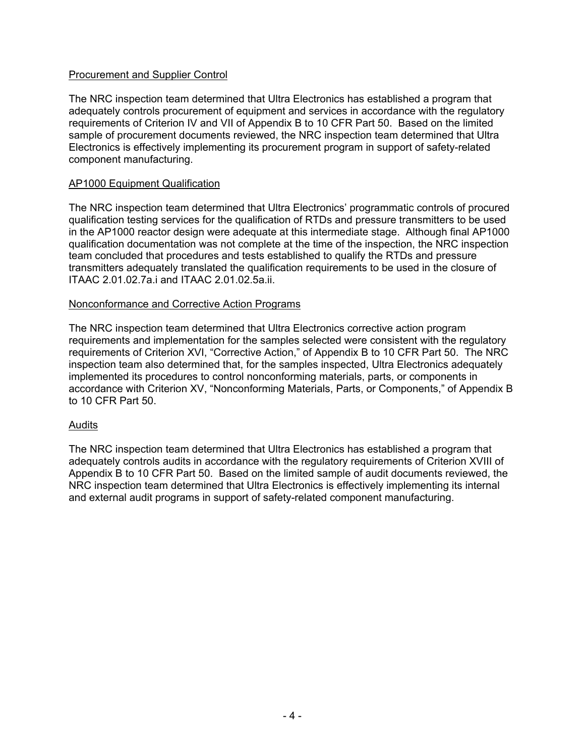### Procurement and Supplier Control

The NRC inspection team determined that Ultra Electronics has established a program that adequately controls procurement of equipment and services in accordance with the regulatory requirements of Criterion IV and VII of Appendix B to 10 CFR Part 50. Based on the limited sample of procurement documents reviewed, the NRC inspection team determined that Ultra Electronics is effectively implementing its procurement program in support of safety-related component manufacturing.

#### AP1000 Equipment Qualification

The NRC inspection team determined that Ultra Electronics' programmatic controls of procured qualification testing services for the qualification of RTDs and pressure transmitters to be used in the AP1000 reactor design were adequate at this intermediate stage. Although final AP1000 qualification documentation was not complete at the time of the inspection, the NRC inspection team concluded that procedures and tests established to qualify the RTDs and pressure transmitters adequately translated the qualification requirements to be used in the closure of ITAAC 2.01.02.7a.i and ITAAC 2.01.02.5a.ii.

#### Nonconformance and Corrective Action Programs

The NRC inspection team determined that Ultra Electronics corrective action program requirements and implementation for the samples selected were consistent with the regulatory requirements of Criterion XVI, "Corrective Action," of Appendix B to 10 CFR Part 50. The NRC inspection team also determined that, for the samples inspected, Ultra Electronics adequately implemented its procedures to control nonconforming materials, parts, or components in accordance with Criterion XV, "Nonconforming Materials, Parts, or Components," of Appendix B to 10 CFR Part 50.

#### Audits

The NRC inspection team determined that Ultra Electronics has established a program that adequately controls audits in accordance with the regulatory requirements of Criterion XVIII of Appendix B to 10 CFR Part 50. Based on the limited sample of audit documents reviewed, the NRC inspection team determined that Ultra Electronics is effectively implementing its internal and external audit programs in support of safety-related component manufacturing.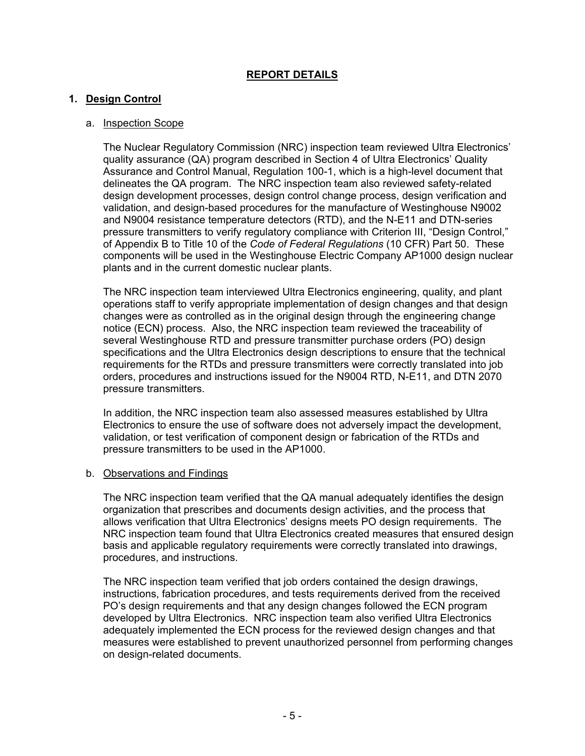## **REPORT DETAILS**

#### **1. Design Control**

#### a. Inspection Scope

The Nuclear Regulatory Commission (NRC) inspection team reviewed Ultra Electronics' quality assurance (QA) program described in Section 4 of Ultra Electronics' Quality Assurance and Control Manual, Regulation 100-1, which is a high-level document that delineates the QA program. The NRC inspection team also reviewed safety-related design development processes, design control change process, design verification and validation, and design-based procedures for the manufacture of Westinghouse N9002 and N9004 resistance temperature detectors (RTD), and the N-E11 and DTN-series pressure transmitters to verify regulatory compliance with Criterion III, "Design Control," of Appendix B to Title 10 of the *Code of Federal Regulations* (10 CFR) Part 50. These components will be used in the Westinghouse Electric Company AP1000 design nuclear plants and in the current domestic nuclear plants.

The NRC inspection team interviewed Ultra Electronics engineering, quality, and plant operations staff to verify appropriate implementation of design changes and that design changes were as controlled as in the original design through the engineering change notice (ECN) process. Also, the NRC inspection team reviewed the traceability of several Westinghouse RTD and pressure transmitter purchase orders (PO) design specifications and the Ultra Electronics design descriptions to ensure that the technical requirements for the RTDs and pressure transmitters were correctly translated into job orders, procedures and instructions issued for the N9004 RTD, N-E11, and DTN 2070 pressure transmitters.

In addition, the NRC inspection team also assessed measures established by Ultra Electronics to ensure the use of software does not adversely impact the development, validation, or test verification of component design or fabrication of the RTDs and pressure transmitters to be used in the AP1000.

#### b. Observations and Findings

The NRC inspection team verified that the QA manual adequately identifies the design organization that prescribes and documents design activities, and the process that allows verification that Ultra Electronics' designs meets PO design requirements. The NRC inspection team found that Ultra Electronics created measures that ensured design basis and applicable regulatory requirements were correctly translated into drawings, procedures, and instructions.

The NRC inspection team verified that job orders contained the design drawings, instructions, fabrication procedures, and tests requirements derived from the received PO's design requirements and that any design changes followed the ECN program developed by Ultra Electronics. NRC inspection team also verified Ultra Electronics adequately implemented the ECN process for the reviewed design changes and that measures were established to prevent unauthorized personnel from performing changes on design-related documents.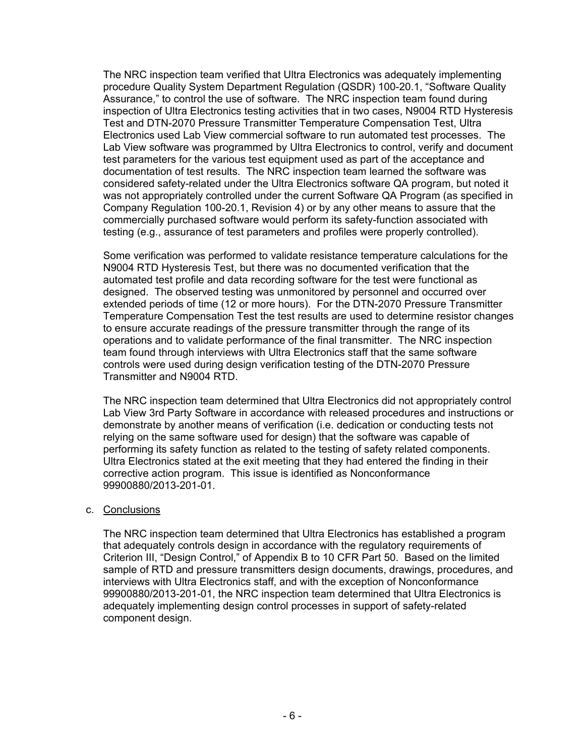The NRC inspection team verified that Ultra Electronics was adequately implementing procedure Quality System Department Regulation (QSDR) 100-20.1, "Software Quality Assurance," to control the use of software. The NRC inspection team found during inspection of Ultra Electronics testing activities that in two cases, N9004 RTD Hysteresis Test and DTN-2070 Pressure Transmitter Temperature Compensation Test, Ultra Electronics used Lab View commercial software to run automated test processes. The Lab View software was programmed by Ultra Electronics to control, verify and document test parameters for the various test equipment used as part of the acceptance and documentation of test results. The NRC inspection team learned the software was considered safety-related under the Ultra Electronics software QA program, but noted it was not appropriately controlled under the current Software QA Program (as specified in Company Regulation 100-20.1, Revision 4) or by any other means to assure that the commercially purchased software would perform its safety-function associated with testing (e.g., assurance of test parameters and profiles were properly controlled).

Some verification was performed to validate resistance temperature calculations for the N9004 RTD Hysteresis Test, but there was no documented verification that the automated test profile and data recording software for the test were functional as designed. The observed testing was unmonitored by personnel and occurred over extended periods of time (12 or more hours). For the DTN-2070 Pressure Transmitter Temperature Compensation Test the test results are used to determine resistor changes to ensure accurate readings of the pressure transmitter through the range of its operations and to validate performance of the final transmitter. The NRC inspection team found through interviews with Ultra Electronics staff that the same software controls were used during design verification testing of the DTN-2070 Pressure Transmitter and N9004 RTD.

The NRC inspection team determined that Ultra Electronics did not appropriately control Lab View 3rd Party Software in accordance with released procedures and instructions or demonstrate by another means of verification (i.e. dedication or conducting tests not relying on the same software used for design) that the software was capable of performing its safety function as related to the testing of safety related components. Ultra Electronics stated at the exit meeting that they had entered the finding in their corrective action program. This issue is identified as Nonconformance 99900880/2013-201-01.

### c. Conclusions

The NRC inspection team determined that Ultra Electronics has established a program that adequately controls design in accordance with the regulatory requirements of Criterion III, "Design Control," of Appendix B to 10 CFR Part 50. Based on the limited sample of RTD and pressure transmitters design documents, drawings, procedures, and interviews with Ultra Electronics staff, and with the exception of Nonconformance 99900880/2013-201-01, the NRC inspection team determined that Ultra Electronics is adequately implementing design control processes in support of safety-related component design.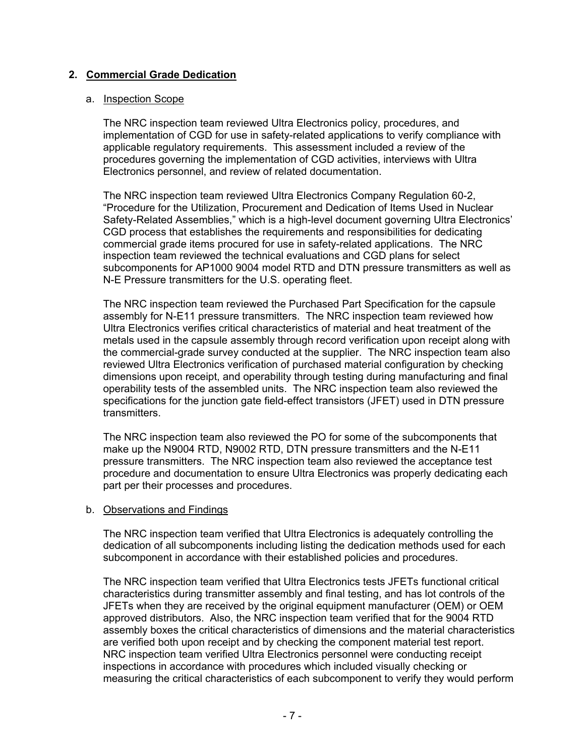### **2. Commercial Grade Dedication**

#### a. Inspection Scope

The NRC inspection team reviewed Ultra Electronics policy, procedures, and implementation of CGD for use in safety-related applications to verify compliance with applicable regulatory requirements. This assessment included a review of the procedures governing the implementation of CGD activities, interviews with Ultra Electronics personnel, and review of related documentation.

The NRC inspection team reviewed Ultra Electronics Company Regulation 60-2, "Procedure for the Utilization, Procurement and Dedication of Items Used in Nuclear Safety-Related Assemblies," which is a high-level document governing Ultra Electronics' CGD process that establishes the requirements and responsibilities for dedicating commercial grade items procured for use in safety-related applications. The NRC inspection team reviewed the technical evaluations and CGD plans for select subcomponents for AP1000 9004 model RTD and DTN pressure transmitters as well as N-E Pressure transmitters for the U.S. operating fleet.

The NRC inspection team reviewed the Purchased Part Specification for the capsule assembly for N-E11 pressure transmitters. The NRC inspection team reviewed how Ultra Electronics verifies critical characteristics of material and heat treatment of the metals used in the capsule assembly through record verification upon receipt along with the commercial-grade survey conducted at the supplier. The NRC inspection team also reviewed Ultra Electronics verification of purchased material configuration by checking dimensions upon receipt, and operability through testing during manufacturing and final operability tests of the assembled units. The NRC inspection team also reviewed the specifications for the junction gate field-effect transistors (JFET) used in DTN pressure transmitters.

The NRC inspection team also reviewed the PO for some of the subcomponents that make up the N9004 RTD, N9002 RTD, DTN pressure transmitters and the N-E11 pressure transmitters. The NRC inspection team also reviewed the acceptance test procedure and documentation to ensure Ultra Electronics was properly dedicating each part per their processes and procedures.

#### b. Observations and Findings

The NRC inspection team verified that Ultra Electronics is adequately controlling the dedication of all subcomponents including listing the dedication methods used for each subcomponent in accordance with their established policies and procedures.

The NRC inspection team verified that Ultra Electronics tests JFETs functional critical characteristics during transmitter assembly and final testing, and has lot controls of the JFETs when they are received by the original equipment manufacturer (OEM) or OEM approved distributors. Also, the NRC inspection team verified that for the 9004 RTD assembly boxes the critical characteristics of dimensions and the material characteristics are verified both upon receipt and by checking the component material test report. NRC inspection team verified Ultra Electronics personnel were conducting receipt inspections in accordance with procedures which included visually checking or measuring the critical characteristics of each subcomponent to verify they would perform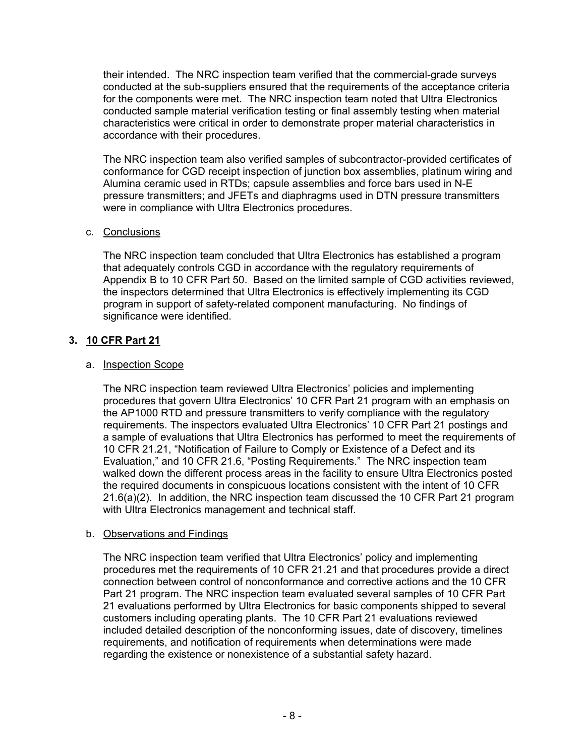their intended. The NRC inspection team verified that the commercial-grade surveys conducted at the sub-suppliers ensured that the requirements of the acceptance criteria for the components were met. The NRC inspection team noted that Ultra Electronics conducted sample material verification testing or final assembly testing when material characteristics were critical in order to demonstrate proper material characteristics in accordance with their procedures.

The NRC inspection team also verified samples of subcontractor-provided certificates of conformance for CGD receipt inspection of junction box assemblies, platinum wiring and Alumina ceramic used in RTDs; capsule assemblies and force bars used in N-E pressure transmitters; and JFETs and diaphragms used in DTN pressure transmitters were in compliance with Ultra Electronics procedures.

## c. Conclusions

The NRC inspection team concluded that Ultra Electronics has established a program that adequately controls CGD in accordance with the regulatory requirements of Appendix B to 10 CFR Part 50. Based on the limited sample of CGD activities reviewed, the inspectors determined that Ultra Electronics is effectively implementing its CGD program in support of safety-related component manufacturing. No findings of significance were identified.

## **3. 10 CFR Part 21**

## a. Inspection Scope

The NRC inspection team reviewed Ultra Electronics' policies and implementing procedures that govern Ultra Electronics' 10 CFR Part 21 program with an emphasis on the AP1000 RTD and pressure transmitters to verify compliance with the regulatory requirements. The inspectors evaluated Ultra Electronics' 10 CFR Part 21 postings and a sample of evaluations that Ultra Electronics has performed to meet the requirements of 10 CFR 21.21, "Notification of Failure to Comply or Existence of a Defect and its Evaluation," and 10 CFR 21.6, "Posting Requirements." The NRC inspection team walked down the different process areas in the facility to ensure Ultra Electronics posted the required documents in conspicuous locations consistent with the intent of 10 CFR 21.6(a)(2). In addition, the NRC inspection team discussed the 10 CFR Part 21 program with Ultra Electronics management and technical staff.

## b. Observations and Findings

The NRC inspection team verified that Ultra Electronics' policy and implementing procedures met the requirements of 10 CFR 21.21 and that procedures provide a direct connection between control of nonconformance and corrective actions and the 10 CFR Part 21 program. The NRC inspection team evaluated several samples of 10 CFR Part 21 evaluations performed by Ultra Electronics for basic components shipped to several customers including operating plants. The 10 CFR Part 21 evaluations reviewed included detailed description of the nonconforming issues, date of discovery, timelines requirements, and notification of requirements when determinations were made regarding the existence or nonexistence of a substantial safety hazard.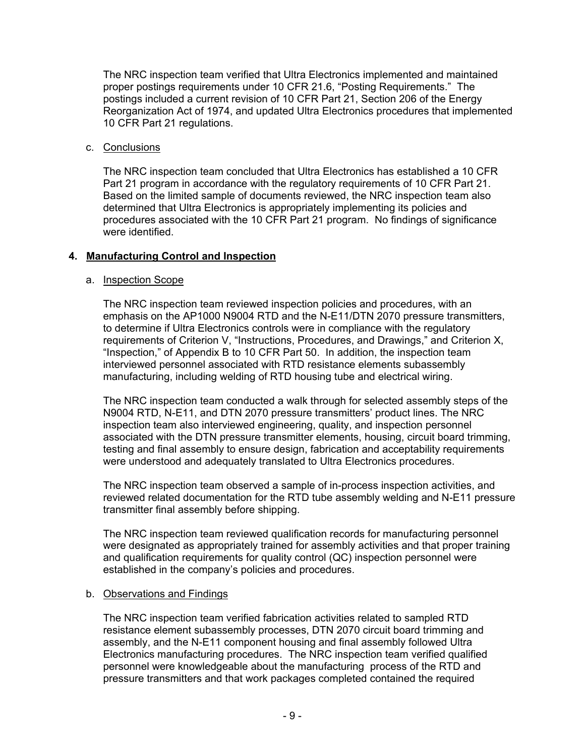The NRC inspection team verified that Ultra Electronics implemented and maintained proper postings requirements under 10 CFR 21.6, "Posting Requirements." The postings included a current revision of 10 CFR Part 21, Section 206 of the Energy Reorganization Act of 1974, and updated Ultra Electronics procedures that implemented 10 CFR Part 21 regulations.

### c. Conclusions

The NRC inspection team concluded that Ultra Electronics has established a 10 CFR Part 21 program in accordance with the regulatory requirements of 10 CFR Part 21. Based on the limited sample of documents reviewed, the NRC inspection team also determined that Ultra Electronics is appropriately implementing its policies and procedures associated with the 10 CFR Part 21 program. No findings of significance were identified.

## **4. Manufacturing Control and Inspection**

### a. Inspection Scope

The NRC inspection team reviewed inspection policies and procedures, with an emphasis on the AP1000 N9004 RTD and the N-E11/DTN 2070 pressure transmitters, to determine if Ultra Electronics controls were in compliance with the regulatory requirements of Criterion V, "Instructions, Procedures, and Drawings," and Criterion X, "Inspection," of Appendix B to 10 CFR Part 50. In addition, the inspection team interviewed personnel associated with RTD resistance elements subassembly manufacturing, including welding of RTD housing tube and electrical wiring.

The NRC inspection team conducted a walk through for selected assembly steps of the N9004 RTD, N-E11, and DTN 2070 pressure transmitters' product lines. The NRC inspection team also interviewed engineering, quality, and inspection personnel associated with the DTN pressure transmitter elements, housing, circuit board trimming, testing and final assembly to ensure design, fabrication and acceptability requirements were understood and adequately translated to Ultra Electronics procedures.

The NRC inspection team observed a sample of in-process inspection activities, and reviewed related documentation for the RTD tube assembly welding and N-E11 pressure transmitter final assembly before shipping.

The NRC inspection team reviewed qualification records for manufacturing personnel were designated as appropriately trained for assembly activities and that proper training and qualification requirements for quality control (QC) inspection personnel were established in the company's policies and procedures.

### b. Observations and Findings

The NRC inspection team verified fabrication activities related to sampled RTD resistance element subassembly processes, DTN 2070 circuit board trimming and assembly, and the N-E11 component housing and final assembly followed Ultra Electronics manufacturing procedures. The NRC inspection team verified qualified personnel were knowledgeable about the manufacturing process of the RTD and pressure transmitters and that work packages completed contained the required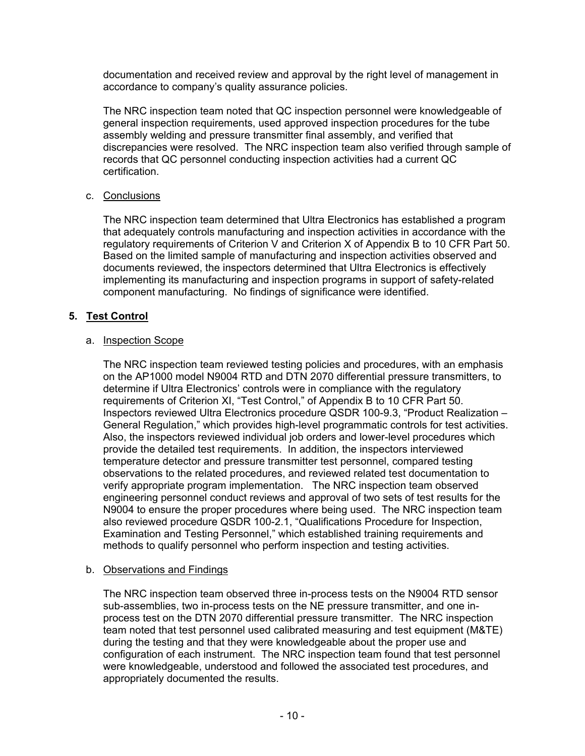documentation and received review and approval by the right level of management in accordance to company's quality assurance policies.

The NRC inspection team noted that QC inspection personnel were knowledgeable of general inspection requirements, used approved inspection procedures for the tube assembly welding and pressure transmitter final assembly, and verified that discrepancies were resolved. The NRC inspection team also verified through sample of records that QC personnel conducting inspection activities had a current QC certification.

### c. Conclusions

The NRC inspection team determined that Ultra Electronics has established a program that adequately controls manufacturing and inspection activities in accordance with the regulatory requirements of Criterion V and Criterion X of Appendix B to 10 CFR Part 50. Based on the limited sample of manufacturing and inspection activities observed and documents reviewed, the inspectors determined that Ultra Electronics is effectively implementing its manufacturing and inspection programs in support of safety-related component manufacturing. No findings of significance were identified.

### **5. Test Control**

#### a. Inspection Scope

The NRC inspection team reviewed testing policies and procedures, with an emphasis on the AP1000 model N9004 RTD and DTN 2070 differential pressure transmitters, to determine if Ultra Electronics' controls were in compliance with the regulatory requirements of Criterion XI, "Test Control," of Appendix B to 10 CFR Part 50. Inspectors reviewed Ultra Electronics procedure QSDR 100-9.3, "Product Realization – General Regulation," which provides high-level programmatic controls for test activities. Also, the inspectors reviewed individual job orders and lower-level procedures which provide the detailed test requirements. In addition, the inspectors interviewed temperature detector and pressure transmitter test personnel, compared testing observations to the related procedures, and reviewed related test documentation to verify appropriate program implementation. The NRC inspection team observed engineering personnel conduct reviews and approval of two sets of test results for the N9004 to ensure the proper procedures where being used. The NRC inspection team also reviewed procedure QSDR 100-2.1, "Qualifications Procedure for Inspection, Examination and Testing Personnel," which established training requirements and methods to qualify personnel who perform inspection and testing activities.

#### b. Observations and Findings

The NRC inspection team observed three in-process tests on the N9004 RTD sensor sub-assemblies, two in-process tests on the NE pressure transmitter, and one inprocess test on the DTN 2070 differential pressure transmitter. The NRC inspection team noted that test personnel used calibrated measuring and test equipment (M&TE) during the testing and that they were knowledgeable about the proper use and configuration of each instrument. The NRC inspection team found that test personnel were knowledgeable, understood and followed the associated test procedures, and appropriately documented the results.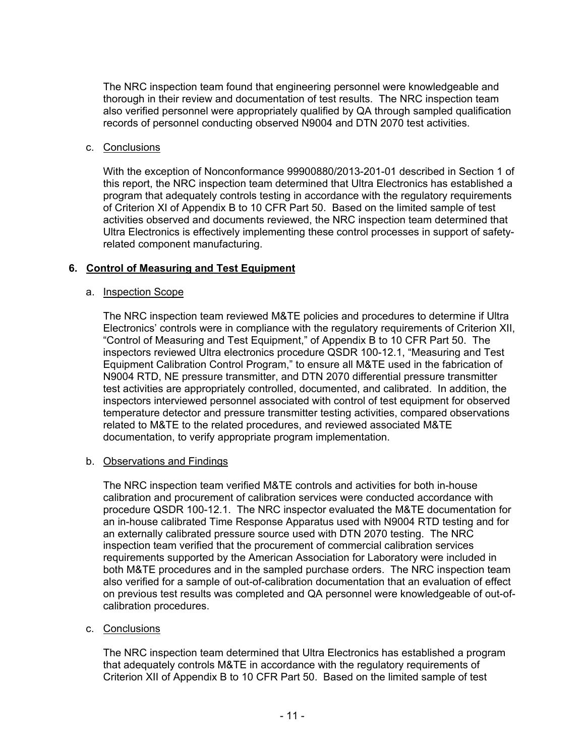The NRC inspection team found that engineering personnel were knowledgeable and thorough in their review and documentation of test results. The NRC inspection team also verified personnel were appropriately qualified by QA through sampled qualification records of personnel conducting observed N9004 and DTN 2070 test activities.

### c. Conclusions

With the exception of Nonconformance 99900880/2013-201-01 described in Section 1 of this report, the NRC inspection team determined that Ultra Electronics has established a program that adequately controls testing in accordance with the regulatory requirements of Criterion XI of Appendix B to 10 CFR Part 50. Based on the limited sample of test activities observed and documents reviewed, the NRC inspection team determined that Ultra Electronics is effectively implementing these control processes in support of safetyrelated component manufacturing.

## **6. Control of Measuring and Test Equipment**

### a. Inspection Scope

The NRC inspection team reviewed M&TE policies and procedures to determine if Ultra Electronics' controls were in compliance with the regulatory requirements of Criterion XII, "Control of Measuring and Test Equipment," of Appendix B to 10 CFR Part 50. The inspectors reviewed Ultra electronics procedure QSDR 100-12.1, "Measuring and Test Equipment Calibration Control Program," to ensure all M&TE used in the fabrication of N9004 RTD, NE pressure transmitter, and DTN 2070 differential pressure transmitter test activities are appropriately controlled, documented, and calibrated. In addition, the inspectors interviewed personnel associated with control of test equipment for observed temperature detector and pressure transmitter testing activities, compared observations related to M&TE to the related procedures, and reviewed associated M&TE documentation, to verify appropriate program implementation.

### b. Observations and Findings

The NRC inspection team verified M&TE controls and activities for both in-house calibration and procurement of calibration services were conducted accordance with procedure QSDR 100-12.1. The NRC inspector evaluated the M&TE documentation for an in-house calibrated Time Response Apparatus used with N9004 RTD testing and for an externally calibrated pressure source used with DTN 2070 testing. The NRC inspection team verified that the procurement of commercial calibration services requirements supported by the American Association for Laboratory were included in both M&TE procedures and in the sampled purchase orders. The NRC inspection team also verified for a sample of out-of-calibration documentation that an evaluation of effect on previous test results was completed and QA personnel were knowledgeable of out-ofcalibration procedures.

### c. Conclusions

The NRC inspection team determined that Ultra Electronics has established a program that adequately controls M&TE in accordance with the regulatory requirements of Criterion XII of Appendix B to 10 CFR Part 50. Based on the limited sample of test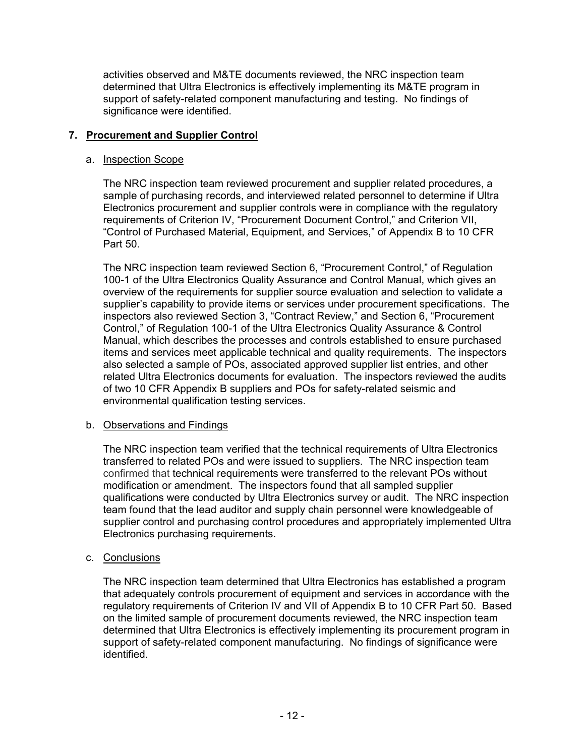activities observed and M&TE documents reviewed, the NRC inspection team determined that Ultra Electronics is effectively implementing its M&TE program in support of safety-related component manufacturing and testing. No findings of significance were identified.

## **7. Procurement and Supplier Control**

### a. Inspection Scope

The NRC inspection team reviewed procurement and supplier related procedures, a sample of purchasing records, and interviewed related personnel to determine if Ultra Electronics procurement and supplier controls were in compliance with the regulatory requirements of Criterion IV, "Procurement Document Control," and Criterion VII, "Control of Purchased Material, Equipment, and Services," of Appendix B to 10 CFR Part 50.

The NRC inspection team reviewed Section 6, "Procurement Control," of Regulation 100-1 of the Ultra Electronics Quality Assurance and Control Manual, which gives an overview of the requirements for supplier source evaluation and selection to validate a supplier's capability to provide items or services under procurement specifications. The inspectors also reviewed Section 3, "Contract Review," and Section 6, "Procurement Control," of Regulation 100-1 of the Ultra Electronics Quality Assurance & Control Manual, which describes the processes and controls established to ensure purchased items and services meet applicable technical and quality requirements. The inspectors also selected a sample of POs, associated approved supplier list entries, and other related Ultra Electronics documents for evaluation. The inspectors reviewed the audits of two 10 CFR Appendix B suppliers and POs for safety-related seismic and environmental qualification testing services.

### b. Observations and Findings

The NRC inspection team verified that the technical requirements of Ultra Electronics transferred to related POs and were issued to suppliers. The NRC inspection team confirmed that technical requirements were transferred to the relevant POs without modification or amendment. The inspectors found that all sampled supplier qualifications were conducted by Ultra Electronics survey or audit. The NRC inspection team found that the lead auditor and supply chain personnel were knowledgeable of supplier control and purchasing control procedures and appropriately implemented Ultra Electronics purchasing requirements.

## c. Conclusions

The NRC inspection team determined that Ultra Electronics has established a program that adequately controls procurement of equipment and services in accordance with the regulatory requirements of Criterion IV and VII of Appendix B to 10 CFR Part 50. Based on the limited sample of procurement documents reviewed, the NRC inspection team determined that Ultra Electronics is effectively implementing its procurement program in support of safety-related component manufacturing. No findings of significance were identified.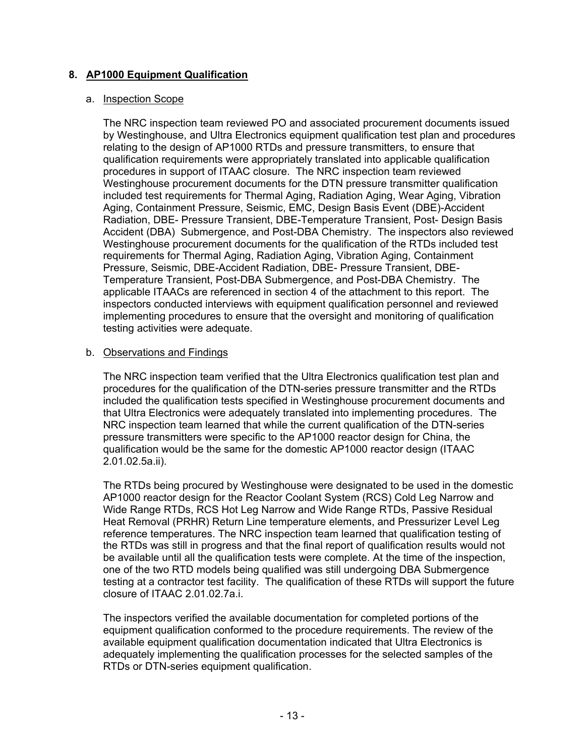## **8. AP1000 Equipment Qualification**

#### a. Inspection Scope

The NRC inspection team reviewed PO and associated procurement documents issued by Westinghouse, and Ultra Electronics equipment qualification test plan and procedures relating to the design of AP1000 RTDs and pressure transmitters, to ensure that qualification requirements were appropriately translated into applicable qualification procedures in support of ITAAC closure. The NRC inspection team reviewed Westinghouse procurement documents for the DTN pressure transmitter qualification included test requirements for Thermal Aging, Radiation Aging, Wear Aging, Vibration Aging, Containment Pressure, Seismic, EMC, Design Basis Event (DBE)-Accident Radiation, DBE- Pressure Transient, DBE-Temperature Transient, Post- Design Basis Accident (DBA) Submergence, and Post-DBA Chemistry. The inspectors also reviewed Westinghouse procurement documents for the qualification of the RTDs included test requirements for Thermal Aging, Radiation Aging, Vibration Aging, Containment Pressure, Seismic, DBE-Accident Radiation, DBE- Pressure Transient, DBE-Temperature Transient, Post-DBA Submergence, and Post-DBA Chemistry. The applicable ITAACs are referenced in section 4 of the attachment to this report. The inspectors conducted interviews with equipment qualification personnel and reviewed implementing procedures to ensure that the oversight and monitoring of qualification testing activities were adequate.

### b. Observations and Findings

The NRC inspection team verified that the Ultra Electronics qualification test plan and procedures for the qualification of the DTN-series pressure transmitter and the RTDs included the qualification tests specified in Westinghouse procurement documents and that Ultra Electronics were adequately translated into implementing procedures. The NRC inspection team learned that while the current qualification of the DTN-series pressure transmitters were specific to the AP1000 reactor design for China, the qualification would be the same for the domestic AP1000 reactor design (ITAAC 2.01.02.5a.ii).

The RTDs being procured by Westinghouse were designated to be used in the domestic AP1000 reactor design for the Reactor Coolant System (RCS) Cold Leg Narrow and Wide Range RTDs, RCS Hot Leg Narrow and Wide Range RTDs, Passive Residual Heat Removal (PRHR) Return Line temperature elements, and Pressurizer Level Leg reference temperatures. The NRC inspection team learned that qualification testing of the RTDs was still in progress and that the final report of qualification results would not be available until all the qualification tests were complete. At the time of the inspection, one of the two RTD models being qualified was still undergoing DBA Submergence testing at a contractor test facility. The qualification of these RTDs will support the future closure of ITAAC 2.01.02.7a.i.

The inspectors verified the available documentation for completed portions of the equipment qualification conformed to the procedure requirements. The review of the available equipment qualification documentation indicated that Ultra Electronics is adequately implementing the qualification processes for the selected samples of the RTDs or DTN-series equipment qualification.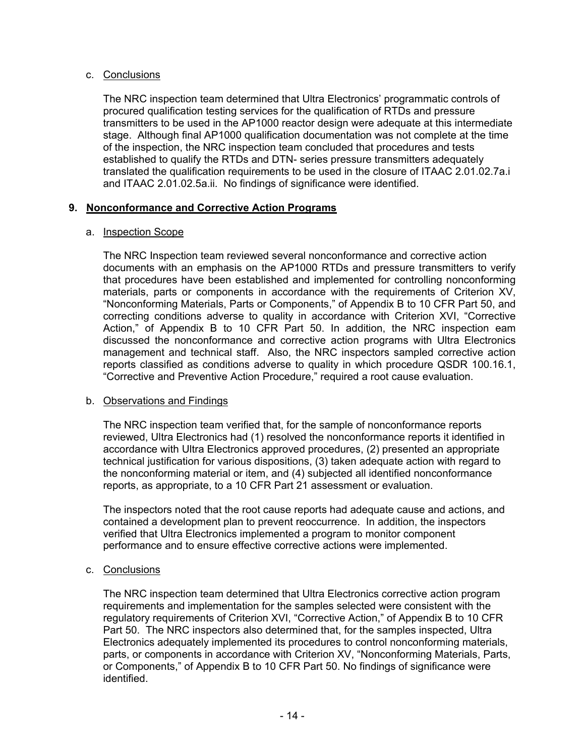### c. Conclusions

The NRC inspection team determined that Ultra Electronics' programmatic controls of procured qualification testing services for the qualification of RTDs and pressure transmitters to be used in the AP1000 reactor design were adequate at this intermediate stage. Although final AP1000 qualification documentation was not complete at the time of the inspection, the NRC inspection team concluded that procedures and tests established to qualify the RTDs and DTN- series pressure transmitters adequately translated the qualification requirements to be used in the closure of ITAAC 2.01.02.7a.i and ITAAC 2.01.02.5a.ii. No findings of significance were identified.

## **9. Nonconformance and Corrective Action Programs**

### a. Inspection Scope

The NRC Inspection team reviewed several nonconformance and corrective action documents with an emphasis on the AP1000 RTDs and pressure transmitters to verify that procedures have been established and implemented for controlling nonconforming materials, parts or components in accordance with the requirements of Criterion XV, "Nonconforming Materials, Parts or Components," of Appendix B to 10 CFR Part 50, and correcting conditions adverse to quality in accordance with Criterion XVI, "Corrective Action," of Appendix B to 10 CFR Part 50. In addition, the NRC inspection eam discussed the nonconformance and corrective action programs with Ultra Electronics management and technical staff. Also, the NRC inspectors sampled corrective action reports classified as conditions adverse to quality in which procedure QSDR 100.16.1, "Corrective and Preventive Action Procedure," required a root cause evaluation.

### b. Observations and Findings

The NRC inspection team verified that, for the sample of nonconformance reports reviewed, Ultra Electronics had (1) resolved the nonconformance reports it identified in accordance with Ultra Electronics approved procedures, (2) presented an appropriate technical justification for various dispositions, (3) taken adequate action with regard to the nonconforming material or item, and (4) subjected all identified nonconformance reports, as appropriate, to a 10 CFR Part 21 assessment or evaluation.

The inspectors noted that the root cause reports had adequate cause and actions, and contained a development plan to prevent reoccurrence. In addition, the inspectors verified that Ultra Electronics implemented a program to monitor component performance and to ensure effective corrective actions were implemented.

### c. Conclusions

The NRC inspection team determined that Ultra Electronics corrective action program requirements and implementation for the samples selected were consistent with the regulatory requirements of Criterion XVI, "Corrective Action," of Appendix B to 10 CFR Part 50. The NRC inspectors also determined that, for the samples inspected, Ultra Electronics adequately implemented its procedures to control nonconforming materials, parts, or components in accordance with Criterion XV, "Nonconforming Materials, Parts, or Components," of Appendix B to 10 CFR Part 50. No findings of significance were identified.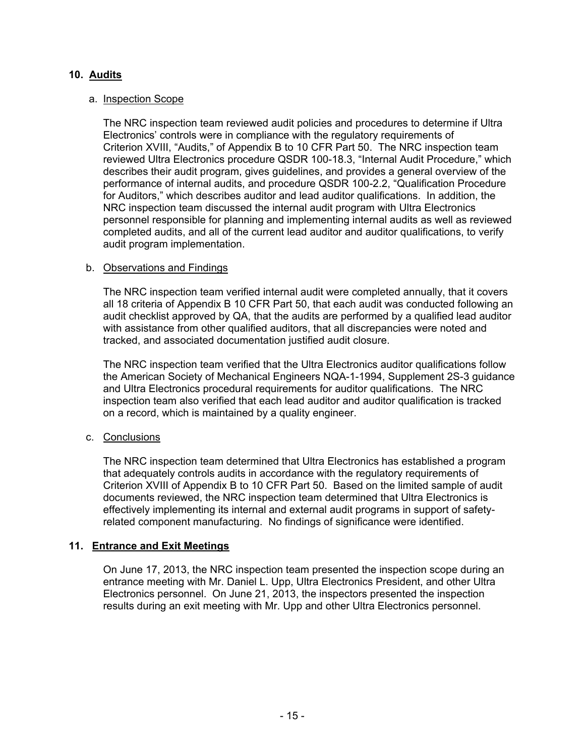## **10. Audits**

#### a. Inspection Scope

The NRC inspection team reviewed audit policies and procedures to determine if Ultra Electronics' controls were in compliance with the regulatory requirements of Criterion XVIII, "Audits," of Appendix B to 10 CFR Part 50. The NRC inspection team reviewed Ultra Electronics procedure QSDR 100-18.3, "Internal Audit Procedure," which describes their audit program, gives guidelines, and provides a general overview of the performance of internal audits, and procedure QSDR 100-2.2, "Qualification Procedure for Auditors," which describes auditor and lead auditor qualifications. In addition, the NRC inspection team discussed the internal audit program with Ultra Electronics personnel responsible for planning and implementing internal audits as well as reviewed completed audits, and all of the current lead auditor and auditor qualifications, to verify audit program implementation.

### b. Observations and Findings

The NRC inspection team verified internal audit were completed annually, that it covers all 18 criteria of Appendix B 10 CFR Part 50, that each audit was conducted following an audit checklist approved by QA, that the audits are performed by a qualified lead auditor with assistance from other qualified auditors, that all discrepancies were noted and tracked, and associated documentation justified audit closure.

The NRC inspection team verified that the Ultra Electronics auditor qualifications follow the American Society of Mechanical Engineers NQA-1-1994, Supplement 2S-3 guidance and Ultra Electronics procedural requirements for auditor qualifications. The NRC inspection team also verified that each lead auditor and auditor qualification is tracked on a record, which is maintained by a quality engineer.

### c. Conclusions

The NRC inspection team determined that Ultra Electronics has established a program that adequately controls audits in accordance with the regulatory requirements of Criterion XVIII of Appendix B to 10 CFR Part 50. Based on the limited sample of audit documents reviewed, the NRC inspection team determined that Ultra Electronics is effectively implementing its internal and external audit programs in support of safetyrelated component manufacturing. No findings of significance were identified.

### **11. Entrance and Exit Meetings**

On June 17, 2013, the NRC inspection team presented the inspection scope during an entrance meeting with Mr. Daniel L. Upp, Ultra Electronics President, and other Ultra Electronics personnel. On June 21, 2013, the inspectors presented the inspection results during an exit meeting with Mr. Upp and other Ultra Electronics personnel.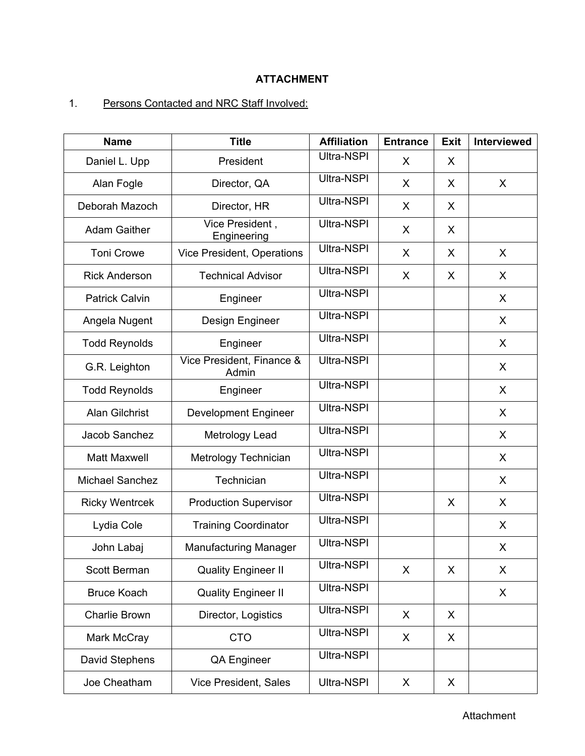## **ATTACHMENT**

# 1. Persons Contacted and NRC Staff Involved:

| <b>Name</b>            | <b>Title</b>                       | <b>Affiliation</b> | <b>Entrance</b> | <b>Exit</b> | <b>Interviewed</b> |
|------------------------|------------------------------------|--------------------|-----------------|-------------|--------------------|
| Daniel L. Upp          | President                          | Ultra-NSPI         | X.              | X           |                    |
| Alan Fogle             | Director, QA                       | Ultra-NSPI         | X               | X           | X                  |
| Deborah Mazoch         | Director, HR                       | Ultra-NSPI         | X               | X           |                    |
| <b>Adam Gaither</b>    | Vice President,<br>Engineering     | Ultra-NSPI         | X               | X           |                    |
| <b>Toni Crowe</b>      | Vice President, Operations         | Ultra-NSPI         | X               | X           | $\mathsf{X}$       |
| <b>Rick Anderson</b>   | <b>Technical Advisor</b>           | Ultra-NSPI         | X               | X           | X                  |
| <b>Patrick Calvin</b>  | Engineer                           | Ultra-NSPI         |                 |             | X                  |
| Angela Nugent          | Design Engineer                    | Ultra-NSPI         |                 |             | $\mathsf{X}$       |
| <b>Todd Reynolds</b>   | Engineer                           | Ultra-NSPI         |                 |             | X                  |
| G.R. Leighton          | Vice President, Finance &<br>Admin | Ultra-NSPI         |                 |             | $\mathsf{X}$       |
| <b>Todd Reynolds</b>   | Engineer                           | Ultra-NSPI         |                 |             | X                  |
| <b>Alan Gilchrist</b>  | <b>Development Engineer</b>        | Ultra-NSPI         |                 |             | X                  |
| Jacob Sanchez          | Metrology Lead                     | Ultra-NSPI         |                 |             | $\mathsf{X}$       |
| Matt Maxwell           | Metrology Technician               | Ultra-NSPI         |                 |             | X                  |
| <b>Michael Sanchez</b> | Technician                         | Ultra-NSPI         |                 |             | $\mathsf{X}$       |
| <b>Ricky Wentrcek</b>  | <b>Production Supervisor</b>       | Ultra-NSPI         |                 | X           | X                  |
| Lydia Cole             | <b>Training Coordinator</b>        | Ultra-NSPI         |                 |             | X                  |
| John Labaj             | <b>Manufacturing Manager</b>       | Ultra-NSPI         |                 |             | X                  |
| Scott Berman           | <b>Quality Engineer II</b>         | Ultra-NSPI         | X               | X           | X                  |
| <b>Bruce Koach</b>     | <b>Quality Engineer II</b>         | Ultra-NSPI         |                 |             | X                  |
| <b>Charlie Brown</b>   | Director, Logistics                | Ultra-NSPI         | X               | X           |                    |
| Mark McCray            | <b>CTO</b>                         | Ultra-NSPI         | X               | X           |                    |
| David Stephens         | <b>QA Engineer</b>                 | Ultra-NSPI         |                 |             |                    |
| Joe Cheatham           | Vice President, Sales              | Ultra-NSPI         | X               | X           |                    |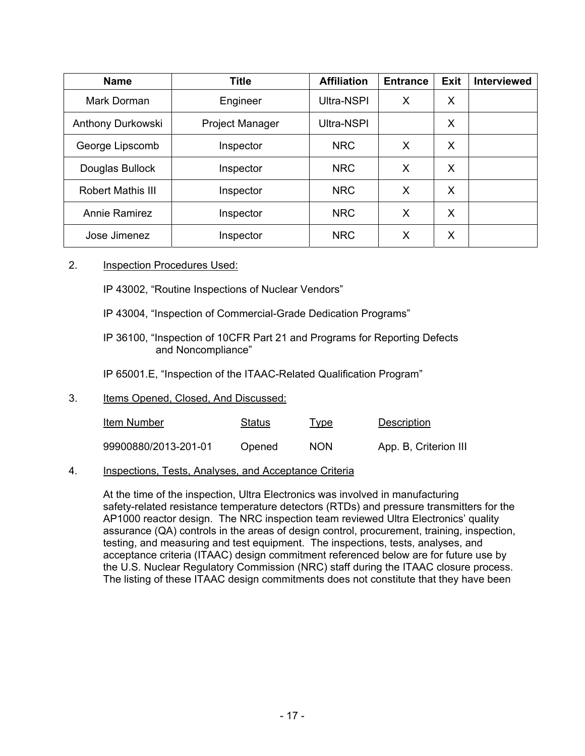| <b>Name</b>              | <b>Title</b>           | <b>Affiliation</b> | <b>Entrance</b> | <b>Exit</b> | <b>Interviewed</b> |
|--------------------------|------------------------|--------------------|-----------------|-------------|--------------------|
| Mark Dorman              | Engineer               | Ultra-NSPI         | X               | X           |                    |
| Anthony Durkowski        | <b>Project Manager</b> | Ultra-NSPI         |                 | X           |                    |
| George Lipscomb          | Inspector              | <b>NRC</b>         | X               | X           |                    |
| Douglas Bullock          | Inspector              | <b>NRC</b>         | X               | X           |                    |
| <b>Robert Mathis III</b> | Inspector              | <b>NRC</b>         | X               | X           |                    |
| <b>Annie Ramirez</b>     | Inspector              | <b>NRC</b>         | X               | X           |                    |
| Jose Jimenez             | Inspector              | <b>NRC</b>         | X               | X           |                    |

#### 2. Inspection Procedures Used:

IP 43002, "Routine Inspections of Nuclear Vendors"

- IP 43004, "Inspection of Commercial-Grade Dedication Programs"
- IP 36100, "Inspection of 10CFR Part 21 and Programs for Reporting Defects and Noncompliance"

IP 65001.E, "Inspection of the ITAAC-Related Qualification Program"

### 3. Items Opened, Closed, And Discussed:

| Item Number          | <b>Status</b> | <u>Type</u> | <b>Description</b>    |
|----------------------|---------------|-------------|-----------------------|
| 99900880/2013-201-01 | Opened        | <b>NON</b>  | App. B, Criterion III |

### 4. Inspections, Tests, Analyses, and Acceptance Criteria

At the time of the inspection, Ultra Electronics was involved in manufacturing safety-related resistance temperature detectors (RTDs) and pressure transmitters for the AP1000 reactor design. The NRC inspection team reviewed Ultra Electronics' quality assurance (QA) controls in the areas of design control, procurement, training, inspection, testing, and measuring and test equipment. The inspections, tests, analyses, and acceptance criteria (ITAAC) design commitment referenced below are for future use by the U.S. Nuclear Regulatory Commission (NRC) staff during the ITAAC closure process. The listing of these ITAAC design commitments does not constitute that they have been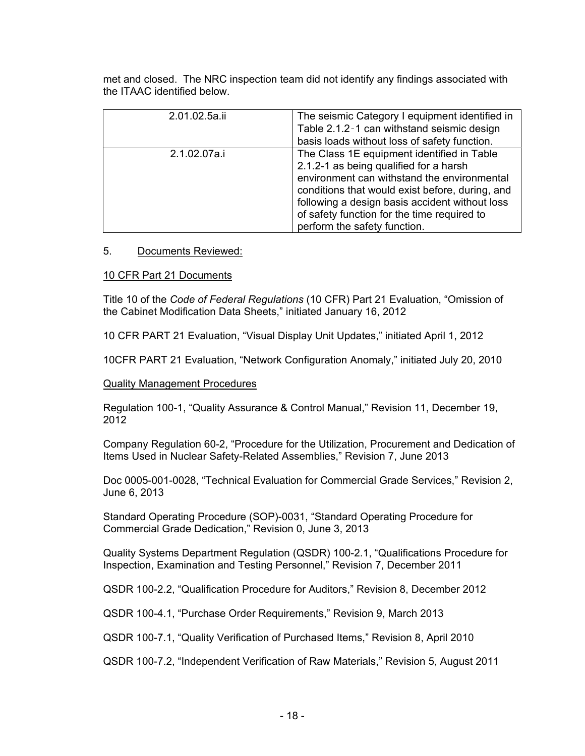met and closed. The NRC inspection team did not identify any findings associated with the ITAAC identified below.

| 2.01.02.5a.ii | The seismic Category I equipment identified in<br>Table 2.1.2-1 can withstand seismic design<br>basis loads without loss of safety function.                                                                                                                                                                            |
|---------------|-------------------------------------------------------------------------------------------------------------------------------------------------------------------------------------------------------------------------------------------------------------------------------------------------------------------------|
| 2.1.02.07a.i  | The Class 1E equipment identified in Table<br>2.1.2-1 as being qualified for a harsh<br>environment can withstand the environmental<br>conditions that would exist before, during, and<br>following a design basis accident without loss<br>of safety function for the time required to<br>perform the safety function. |

#### 5. Documents Reviewed:

10 CFR Part 21 Documents

Title 10 of the *Code of Federal Regulations* (10 CFR) Part 21 Evaluation, "Omission of the Cabinet Modification Data Sheets," initiated January 16, 2012

10 CFR PART 21 Evaluation, "Visual Display Unit Updates," initiated April 1, 2012

10CFR PART 21 Evaluation, "Network Configuration Anomaly," initiated July 20, 2010

#### Quality Management Procedures

Regulation 100-1, "Quality Assurance & Control Manual," Revision 11, December 19, 2012

Company Regulation 60-2, "Procedure for the Utilization, Procurement and Dedication of Items Used in Nuclear Safety-Related Assemblies," Revision 7, June 2013

Doc 0005-001-0028, "Technical Evaluation for Commercial Grade Services," Revision 2, June 6, 2013

Standard Operating Procedure (SOP)-0031, "Standard Operating Procedure for Commercial Grade Dedication," Revision 0, June 3, 2013

Quality Systems Department Regulation (QSDR) 100-2.1, "Qualifications Procedure for Inspection, Examination and Testing Personnel," Revision 7, December 2011

QSDR 100-2.2, "Qualification Procedure for Auditors," Revision 8, December 2012

QSDR 100-4.1, "Purchase Order Requirements," Revision 9, March 2013

QSDR 100-7.1, "Quality Verification of Purchased Items," Revision 8, April 2010

QSDR 100-7.2, "Independent Verification of Raw Materials," Revision 5, August 2011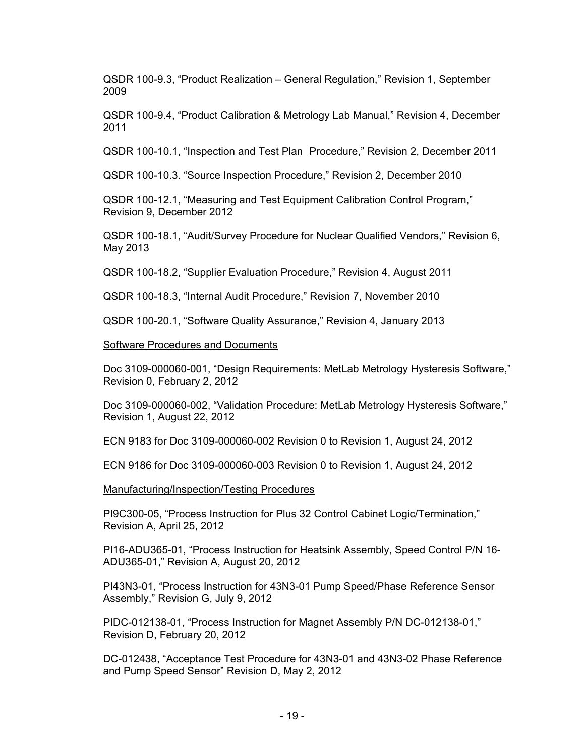QSDR 100-9.3, "Product Realization – General Regulation," Revision 1, September 2009

QSDR 100-9.4, "Product Calibration & Metrology Lab Manual," Revision 4, December 2011

QSDR 100-10.1, "Inspection and Test Plan Procedure," Revision 2, December 2011

QSDR 100-10.3. "Source Inspection Procedure," Revision 2, December 2010

QSDR 100-12.1, "Measuring and Test Equipment Calibration Control Program," Revision 9, December 2012

QSDR 100-18.1, "Audit/Survey Procedure for Nuclear Qualified Vendors," Revision 6, May 2013

QSDR 100-18.2, "Supplier Evaluation Procedure," Revision 4, August 2011

QSDR 100-18.3, "Internal Audit Procedure," Revision 7, November 2010

QSDR 100-20.1, "Software Quality Assurance," Revision 4, January 2013

Software Procedures and Documents

Doc 3109-000060-001, "Design Requirements: MetLab Metrology Hysteresis Software," Revision 0, February 2, 2012

Doc 3109-000060-002, "Validation Procedure: MetLab Metrology Hysteresis Software," Revision 1, August 22, 2012

ECN 9183 for Doc 3109-000060-002 Revision 0 to Revision 1, August 24, 2012

ECN 9186 for Doc 3109-000060-003 Revision 0 to Revision 1, August 24, 2012

Manufacturing/Inspection/Testing Procedures

PI9C300-05, "Process Instruction for Plus 32 Control Cabinet Logic/Termination," Revision A, April 25, 2012

PI16-ADU365-01, "Process Instruction for Heatsink Assembly, Speed Control P/N 16- ADU365-01," Revision A, August 20, 2012

PI43N3-01, "Process Instruction for 43N3-01 Pump Speed/Phase Reference Sensor Assembly," Revision G, July 9, 2012

PIDC-012138-01, "Process Instruction for Magnet Assembly P/N DC-012138-01," Revision D, February 20, 2012

DC-012438, "Acceptance Test Procedure for 43N3-01 and 43N3-02 Phase Reference and Pump Speed Sensor" Revision D, May 2, 2012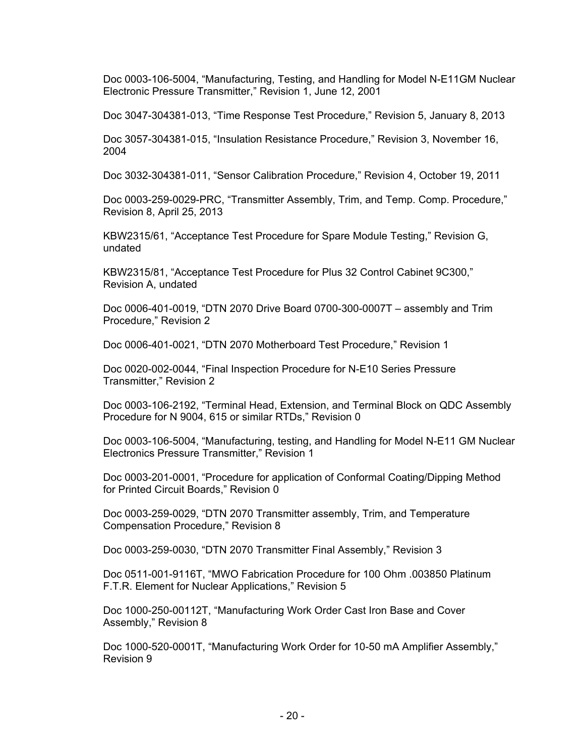Doc 0003-106-5004, "Manufacturing, Testing, and Handling for Model N-E11GM Nuclear Electronic Pressure Transmitter," Revision 1, June 12, 2001

Doc 3047-304381-013, "Time Response Test Procedure," Revision 5, January 8, 2013

Doc 3057-304381-015, "Insulation Resistance Procedure," Revision 3, November 16, 2004

Doc 3032-304381-011, "Sensor Calibration Procedure," Revision 4, October 19, 2011

Doc 0003-259-0029-PRC, "Transmitter Assembly, Trim, and Temp. Comp. Procedure," Revision 8, April 25, 2013

KBW2315/61, "Acceptance Test Procedure for Spare Module Testing," Revision G, undated

KBW2315/81, "Acceptance Test Procedure for Plus 32 Control Cabinet 9C300," Revision A, undated

Doc 0006-401-0019, "DTN 2070 Drive Board 0700-300-0007T – assembly and Trim Procedure," Revision 2

Doc 0006-401-0021, "DTN 2070 Motherboard Test Procedure," Revision 1

Doc 0020-002-0044, "Final Inspection Procedure for N-E10 Series Pressure Transmitter," Revision 2

Doc 0003-106-2192, "Terminal Head, Extension, and Terminal Block on QDC Assembly Procedure for N 9004, 615 or similar RTDs," Revision 0

Doc 0003-106-5004, "Manufacturing, testing, and Handling for Model N-E11 GM Nuclear Electronics Pressure Transmitter," Revision 1

Doc 0003-201-0001, "Procedure for application of Conformal Coating/Dipping Method for Printed Circuit Boards," Revision 0

Doc 0003-259-0029, "DTN 2070 Transmitter assembly, Trim, and Temperature Compensation Procedure," Revision 8

Doc 0003-259-0030, "DTN 2070 Transmitter Final Assembly," Revision 3

Doc 0511-001-9116T, "MWO Fabrication Procedure for 100 Ohm .003850 Platinum F.T.R. Element for Nuclear Applications," Revision 5

Doc 1000-250-00112T, "Manufacturing Work Order Cast Iron Base and Cover Assembly," Revision 8

Doc 1000-520-0001T, "Manufacturing Work Order for 10-50 mA Amplifier Assembly," Revision 9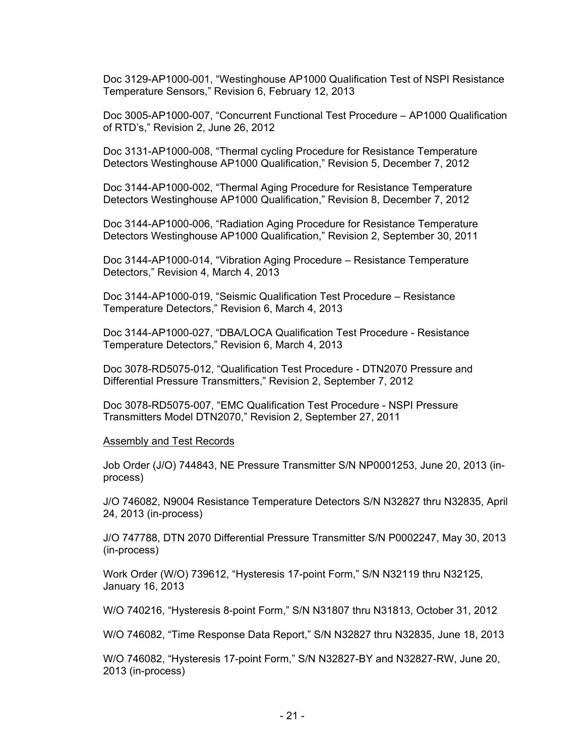Doc 3129-AP1000-001, "Westinghouse AP1000 Qualification Test of NSPI Resistance Temperature Sensors," Revision 6, February 12, 2013

Doc 3005-AP1000-007, "Concurrent Functional Test Procedure – AP1000 Qualification of RTD's," Revision 2, June 26, 2012

Doc 3131-AP1000-008, "Thermal cycling Procedure for Resistance Temperature Detectors Westinghouse AP1000 Qualification," Revision 5, December 7, 2012

Doc 3144-AP1000-002, "Thermal Aging Procedure for Resistance Temperature Detectors Westinghouse AP1000 Qualification," Revision 8, December 7, 2012

Doc 3144-AP1000-006, "Radiation Aging Procedure for Resistance Temperature Detectors Westinghouse AP1000 Qualification," Revision 2, September 30, 2011

Doc 3144-AP1000-014, "Vibration Aging Procedure – Resistance Temperature Detectors," Revision 4, March 4, 2013

Doc 3144-AP1000-019, "Seismic Qualification Test Procedure – Resistance Temperature Detectors," Revision 6, March 4, 2013

Doc 3144-AP1000-027, "DBA/LOCA Qualification Test Procedure - Resistance Temperature Detectors," Revision 6, March 4, 2013

Doc 3078-RD5075-012, "Qualification Test Procedure - DTN2070 Pressure and Differential Pressure Transmitters," Revision 2, September 7, 2012

Doc 3078-RD5075-007, "EMC Qualification Test Procedure - NSPI Pressure Transmitters Model DTN2070," Revision 2, September 27, 2011

Assembly and Test Records

Job Order (J/O) 744843, NE Pressure Transmitter S/N NP0001253, June 20, 2013 (inprocess)

J/O 746082, N9004 Resistance Temperature Detectors S/N N32827 thru N32835, April 24, 2013 (in-process)

J/O 747788, DTN 2070 Differential Pressure Transmitter S/N P0002247, May 30, 2013 (in-process)

Work Order (W/O) 739612, "Hysteresis 17-point Form," S/N N32119 thru N32125, January 16, 2013

W/O 740216, "Hysteresis 8-point Form," S/N N31807 thru N31813, October 31, 2012

W/O 746082, "Time Response Data Report," S/N N32827 thru N32835, June 18, 2013

W/O 746082, "Hysteresis 17-point Form," S/N N32827-BY and N32827-RW, June 20, 2013 (in-process)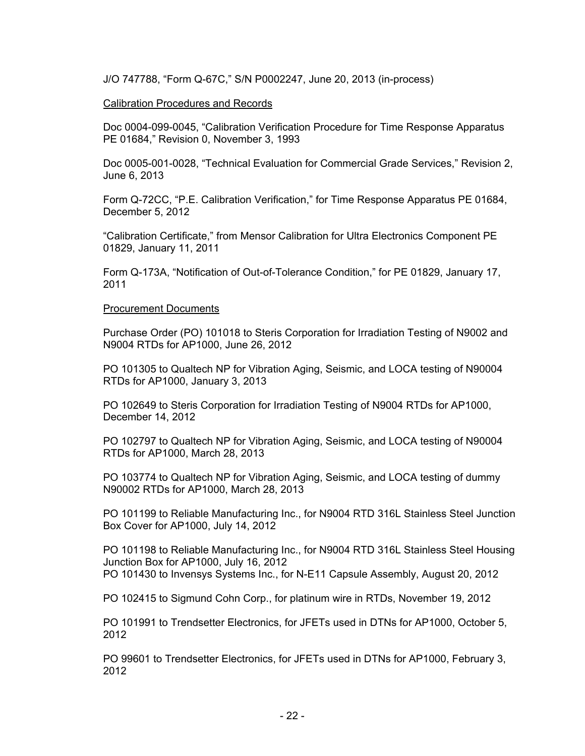J/O 747788, "Form Q-67C," S/N P0002247, June 20, 2013 (in-process)

#### Calibration Procedures and Records

Doc 0004-099-0045, "Calibration Verification Procedure for Time Response Apparatus PE 01684," Revision 0, November 3, 1993

Doc 0005-001-0028, "Technical Evaluation for Commercial Grade Services," Revision 2, June 6, 2013

Form Q-72CC, "P.E. Calibration Verification," for Time Response Apparatus PE 01684, December 5, 2012

"Calibration Certificate," from Mensor Calibration for Ultra Electronics Component PE 01829, January 11, 2011

Form Q-173A, "Notification of Out-of-Tolerance Condition," for PE 01829, January 17, 2011

#### Procurement Documents

Purchase Order (PO) 101018 to Steris Corporation for Irradiation Testing of N9002 and N9004 RTDs for AP1000, June 26, 2012

PO 101305 to Qualtech NP for Vibration Aging, Seismic, and LOCA testing of N90004 RTDs for AP1000, January 3, 2013

PO 102649 to Steris Corporation for Irradiation Testing of N9004 RTDs for AP1000, December 14, 2012

PO 102797 to Qualtech NP for Vibration Aging, Seismic, and LOCA testing of N90004 RTDs for AP1000, March 28, 2013

PO 103774 to Qualtech NP for Vibration Aging, Seismic, and LOCA testing of dummy N90002 RTDs for AP1000, March 28, 2013

PO 101199 to Reliable Manufacturing Inc., for N9004 RTD 316L Stainless Steel Junction Box Cover for AP1000, July 14, 2012

PO 101198 to Reliable Manufacturing Inc., for N9004 RTD 316L Stainless Steel Housing Junction Box for AP1000, July 16, 2012 PO 101430 to Invensys Systems Inc., for N-E11 Capsule Assembly, August 20, 2012

PO 102415 to Sigmund Cohn Corp., for platinum wire in RTDs, November 19, 2012

PO 101991 to Trendsetter Electronics, for JFETs used in DTNs for AP1000, October 5, 2012

PO 99601 to Trendsetter Electronics, for JFETs used in DTNs for AP1000, February 3, 2012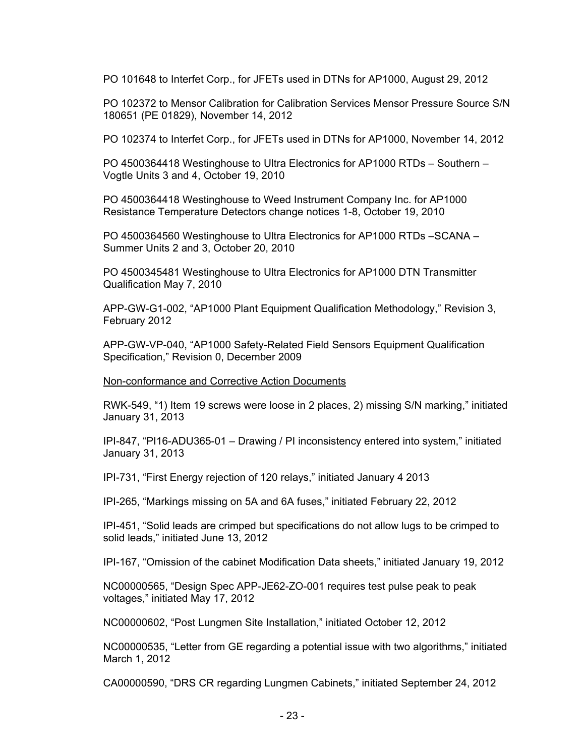PO 101648 to Interfet Corp., for JFETs used in DTNs for AP1000, August 29, 2012

PO 102372 to Mensor Calibration for Calibration Services Mensor Pressure Source S/N 180651 (PE 01829), November 14, 2012

PO 102374 to Interfet Corp., for JFETs used in DTNs for AP1000, November 14, 2012

PO 4500364418 Westinghouse to Ultra Electronics for AP1000 RTDs – Southern – Vogtle Units 3 and 4, October 19, 2010

PO 4500364418 Westinghouse to Weed Instrument Company Inc. for AP1000 Resistance Temperature Detectors change notices 1-8, October 19, 2010

PO 4500364560 Westinghouse to Ultra Electronics for AP1000 RTDs –SCANA – Summer Units 2 and 3, October 20, 2010

PO 4500345481 Westinghouse to Ultra Electronics for AP1000 DTN Transmitter Qualification May 7, 2010

APP-GW-G1-002, "AP1000 Plant Equipment Qualification Methodology," Revision 3, February 2012

APP-GW-VP-040, "AP1000 Safety-Related Field Sensors Equipment Qualification Specification," Revision 0, December 2009

Non-conformance and Corrective Action Documents

RWK-549, "1) Item 19 screws were loose in 2 places, 2) missing S/N marking," initiated January 31, 2013

IPI-847, "PI16-ADU365-01 – Drawing / PI inconsistency entered into system," initiated January 31, 2013

IPI-731, "First Energy rejection of 120 relays," initiated January 4 2013

IPI-265, "Markings missing on 5A and 6A fuses," initiated February 22, 2012

IPI-451, "Solid leads are crimped but specifications do not allow lugs to be crimped to solid leads," initiated June 13, 2012

IPI-167, "Omission of the cabinet Modification Data sheets," initiated January 19, 2012

NC00000565, "Design Spec APP-JE62-ZO-001 requires test pulse peak to peak voltages," initiated May 17, 2012

NC00000602, "Post Lungmen Site Installation," initiated October 12, 2012

NC00000535, "Letter from GE regarding a potential issue with two algorithms," initiated March 1, 2012

CA00000590, "DRS CR regarding Lungmen Cabinets," initiated September 24, 2012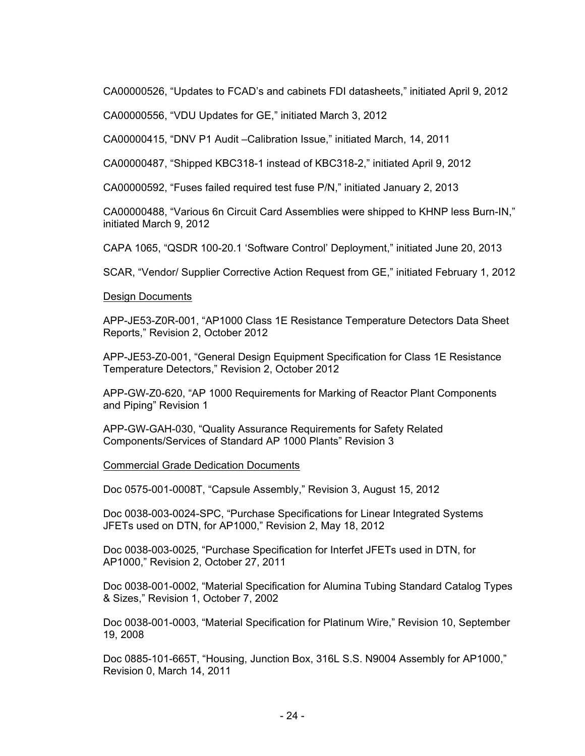CA00000526, "Updates to FCAD's and cabinets FDI datasheets," initiated April 9, 2012

CA00000556, "VDU Updates for GE," initiated March 3, 2012

CA00000415, "DNV P1 Audit –Calibration Issue," initiated March, 14, 2011

CA00000487, "Shipped KBC318-1 instead of KBC318-2," initiated April 9, 2012

CA00000592, "Fuses failed required test fuse P/N," initiated January 2, 2013

CA00000488, "Various 6n Circuit Card Assemblies were shipped to KHNP less Burn-IN," initiated March 9, 2012

CAPA 1065, "QSDR 100-20.1 'Software Control' Deployment," initiated June 20, 2013

SCAR, "Vendor/ Supplier Corrective Action Request from GE," initiated February 1, 2012

#### Design Documents

 APP-JE53-Z0R-001, "AP1000 Class 1E Resistance Temperature Detectors Data Sheet Reports," Revision 2, October 2012

 APP-JE53-Z0-001, "General Design Equipment Specification for Class 1E Resistance Temperature Detectors," Revision 2, October 2012

 APP-GW-Z0-620, "AP 1000 Requirements for Marking of Reactor Plant Components and Piping" Revision 1

 APP-GW-GAH-030, "Quality Assurance Requirements for Safety Related Components/Services of Standard AP 1000 Plants" Revision 3

#### Commercial Grade Dedication Documents

Doc 0575-001-0008T, "Capsule Assembly," Revision 3, August 15, 2012

Doc 0038-003-0024-SPC, "Purchase Specifications for Linear Integrated Systems JFETs used on DTN, for AP1000," Revision 2, May 18, 2012

Doc 0038-003-0025, "Purchase Specification for Interfet JFETs used in DTN, for AP1000," Revision 2, October 27, 2011

Doc 0038-001-0002, "Material Specification for Alumina Tubing Standard Catalog Types & Sizes," Revision 1, October 7, 2002

Doc 0038-001-0003, "Material Specification for Platinum Wire," Revision 10, September 19, 2008

Doc 0885-101-665T, "Housing, Junction Box, 316L S.S. N9004 Assembly for AP1000," Revision 0, March 14, 2011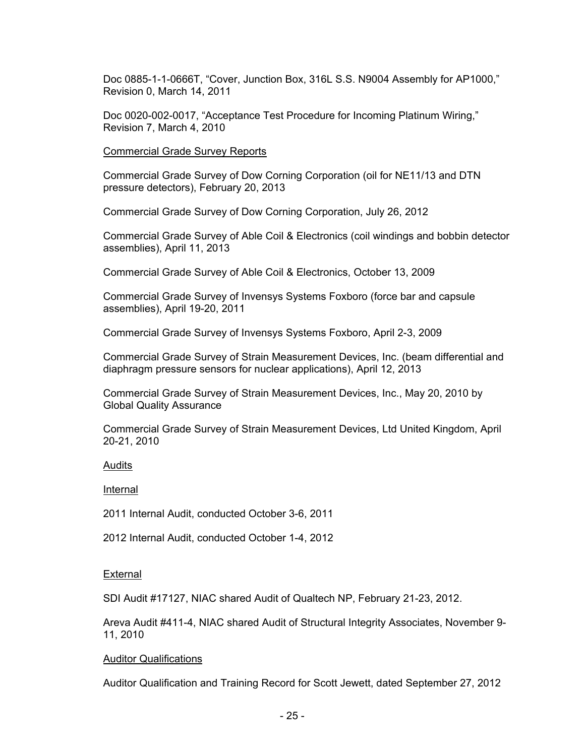Doc 0885-1-1-0666T, "Cover, Junction Box, 316L S.S. N9004 Assembly for AP1000," Revision 0, March 14, 2011

Doc 0020-002-0017, "Acceptance Test Procedure for Incoming Platinum Wiring," Revision 7, March 4, 2010

Commercial Grade Survey Reports

Commercial Grade Survey of Dow Corning Corporation (oil for NE11/13 and DTN pressure detectors), February 20, 2013

Commercial Grade Survey of Dow Corning Corporation, July 26, 2012

Commercial Grade Survey of Able Coil & Electronics (coil windings and bobbin detector assemblies), April 11, 2013

Commercial Grade Survey of Able Coil & Electronics, October 13, 2009

Commercial Grade Survey of Invensys Systems Foxboro (force bar and capsule assemblies), April 19-20, 2011

Commercial Grade Survey of Invensys Systems Foxboro, April 2-3, 2009

Commercial Grade Survey of Strain Measurement Devices, Inc. (beam differential and diaphragm pressure sensors for nuclear applications), April 12, 2013

Commercial Grade Survey of Strain Measurement Devices, Inc., May 20, 2010 by Global Quality Assurance

Commercial Grade Survey of Strain Measurement Devices, Ltd United Kingdom, April 20-21, 2010

#### Audits

Internal

2011 Internal Audit, conducted October 3-6, 2011

2012 Internal Audit, conducted October 1-4, 2012

#### External

SDI Audit #17127, NIAC shared Audit of Qualtech NP, February 21-23, 2012.

Areva Audit #411-4, NIAC shared Audit of Structural Integrity Associates, November 9- 11, 2010

#### Auditor Qualifications

Auditor Qualification and Training Record for Scott Jewett, dated September 27, 2012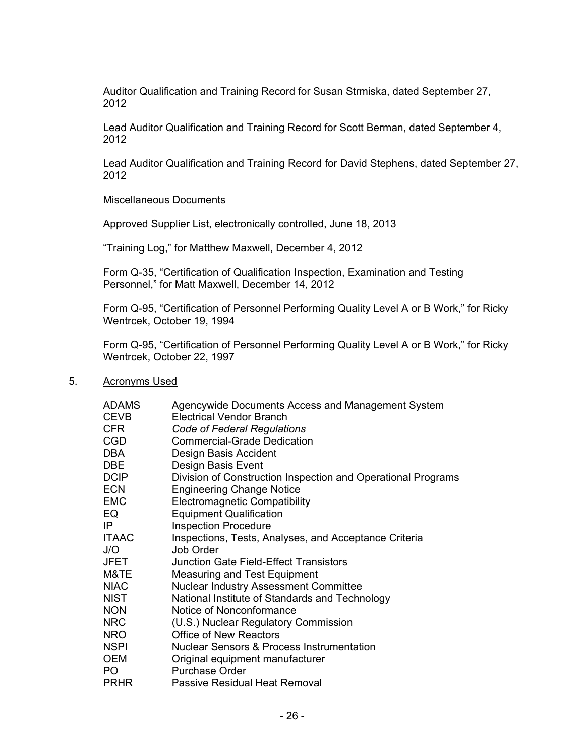Auditor Qualification and Training Record for Susan Strmiska, dated September 27, 2012

Lead Auditor Qualification and Training Record for Scott Berman, dated September 4, 2012

Lead Auditor Qualification and Training Record for David Stephens, dated September 27, 2012

#### Miscellaneous Documents

Approved Supplier List, electronically controlled, June 18, 2013

"Training Log," for Matthew Maxwell, December 4, 2012

Form Q-35, "Certification of Qualification Inspection, Examination and Testing Personnel," for Matt Maxwell, December 14, 2012

Form Q-95, "Certification of Personnel Performing Quality Level A or B Work," for Ricky Wentrcek, October 19, 1994

Form Q-95, "Certification of Personnel Performing Quality Level A or B Work," for Ricky Wentrcek, October 22, 1997

#### 5. Acronyms Used

| <b>ADAMS</b> | Agencywide Documents Access and Management System            |
|--------------|--------------------------------------------------------------|
| CEVB         | <b>Electrical Vendor Branch</b>                              |
| CFR.         | Code of Federal Regulations                                  |
| <b>CGD</b>   | <b>Commercial-Grade Dedication</b>                           |
| DBA          | Design Basis Accident                                        |
| DBE.         | Design Basis Event                                           |
| <b>DCIP</b>  | Division of Construction Inspection and Operational Programs |
| <b>ECN</b>   | <b>Engineering Change Notice</b>                             |
| <b>EMC</b>   | <b>Electromagnetic Compatibility</b>                         |
| EQ           | <b>Equipment Qualification</b>                               |
| IP           | <b>Inspection Procedure</b>                                  |
| <b>ITAAC</b> | Inspections, Tests, Analyses, and Acceptance Criteria        |
| J/O          | Job Order                                                    |
| <b>JFET</b>  | Junction Gate Field-Effect Transistors                       |
| M&TE         | Measuring and Test Equipment                                 |
| <b>NIAC</b>  | <b>Nuclear Industry Assessment Committee</b>                 |
| NIST         | National Institute of Standards and Technology               |
| <b>NON</b>   | Notice of Nonconformance                                     |
| NRC          | (U.S.) Nuclear Regulatory Commission                         |
| <b>NRO</b>   | Office of New Reactors                                       |
| <b>NSPI</b>  | <b>Nuclear Sensors &amp; Process Instrumentation</b>         |
| <b>OEM</b>   | Original equipment manufacturer                              |
| PO.          | Purchase Order                                               |
| <b>PRHR</b>  | Passive Residual Heat Removal                                |
|              |                                                              |